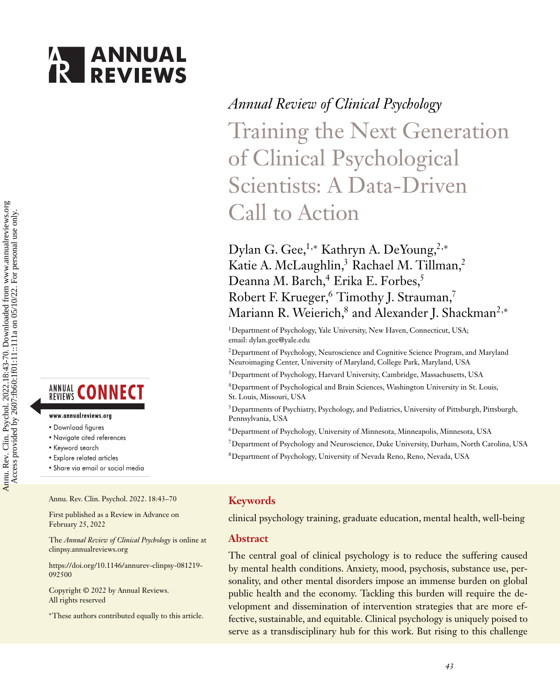# **ANNUAL**<br>**REVIEWS**



#### www.annualreviews.org

- Download figures
- Navigate cited references
- Keyword search
- · Explore related articles
- · Share via email or social media

Annu. Rev. Clin. Psychol. 2022. 18:43–70

First published as a Review in Advance on February 25, 2022

The *Annual Review of Clinical Psychology* is online at clinpsy.annualreviews.org

[https://doi.org/10.1146/annurev-clinpsy-081219-](https://doi.org/10.1146/annurev-clinpsy-081219-092500) 092500

Copyright © 2022 by Annual Reviews. All rights reserved

∗These authors contributed equally to this article.

### *Annual Review of Clinical Psychology*

Training the Next Generation of Clinical Psychological Scientists: A Data-Driven Call to Action

Dylan G. Gee,<sup>1,∗</sup> Kathryn A. DeYoung,<sup>2,∗</sup> Katie A. McLaughlin,<sup>3</sup> Rachael M. Tillman,<sup>2</sup> Deanna M. Barch,<sup>4</sup> Erika E. Forbes,<sup>5</sup> Robert F. Krueger,<sup>6</sup> Timothy J. Strauman,<sup>7</sup> Mariann R. Weierich,<sup>8</sup> and Alexander J. Shackman<sup>2,∗</sup>

<sup>1</sup>Department of Psychology, Yale University, New Haven, Connecticut, USA; email: [dylan.gee@yale.edu](mailto:dylan.gee@yale.edu)

2Department of Psychology, Neuroscience and Cognitive Science Program, and Maryland Neuroimaging Center, University of Maryland, College Park, Maryland, USA

3Department of Psychology, Harvard University, Cambridge, Massachusetts, USA

4Department of Psychological and Brain Sciences, Washington University in St. Louis, St. Louis, Missouri, USA

5Departments of Psychiatry, Psychology, and Pediatrics, University of Pittsburgh, Pittsburgh, Pennsylvania, USA

- 6Department of Psychology, University of Minnesota, Minneapolis, Minnesota, USA
- 7Department of Psychology and Neuroscience, Duke University, Durham, North Carolina, USA
- 8Department of Psychology, University of Nevada Reno, Reno, Nevada, USA

#### **Keywords**

clinical psychology training, graduate education, mental health, well-being

#### **Abstract**

The central goal of clinical psychology is to reduce the suffering caused by mental health conditions. Anxiety, mood, psychosis, substance use, personality, and other mental disorders impose an immense burden on global public health and the economy. Tackling this burden will require the development and dissemination of intervention strategies that are more effective, sustainable, and equitable. Clinical psychology is uniquely poised to serve as a transdisciplinary hub for this work. But rising to this challenge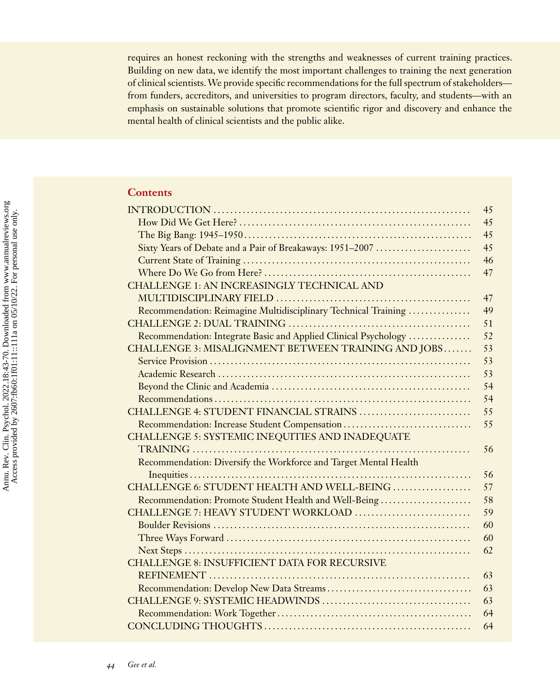requires an honest reckoning with the strengths and weaknesses of current training practices. Building on new data, we identify the most important challenges to training the next generation of clinical scientists.We provide specific recommendations for the full spectrum of stakeholders from funders, accreditors, and universities to program directors, faculty, and students—with an emphasis on sustainable solutions that promote scientific rigor and discovery and enhance the mental health of clinical scientists and the public alike.

#### **Contents**

|                                                                  | 45 |
|------------------------------------------------------------------|----|
|                                                                  | 45 |
|                                                                  | 45 |
| Sixty Years of Debate and a Pair of Breakaways: 1951-2007        | 45 |
|                                                                  | 46 |
|                                                                  | 47 |
| CHALLENGE 1: AN INCREASINGLY TECHNICAL AND                       |    |
|                                                                  | 47 |
| Recommendation: Reimagine Multidisciplinary Technical Training   | 49 |
|                                                                  | 51 |
| Recommendation: Integrate Basic and Applied Clinical Psychology  | 52 |
| CHALLENGE 3: MISALIGNMENT BETWEEN TRAINING AND JOBS              | 53 |
|                                                                  | 53 |
|                                                                  | 53 |
|                                                                  | 54 |
|                                                                  | 54 |
| CHALLENGE 4: STUDENT FINANCIAL STRAINS                           | 55 |
| Recommendation: Increase Student Compensation                    | 55 |
| CHALLENGE 5: SYSTEMIC INEQUITIES AND INADEQUATE                  |    |
|                                                                  | 56 |
| Recommendation: Diversify the Workforce and Target Mental Health |    |
|                                                                  | 56 |
| CHALLENGE 6: STUDENT HEALTH AND WELL-BEING                       | 57 |
| Recommendation: Promote Student Health and Well-Being            | 58 |
| CHALLENGE 7: HEAVY STUDENT WORKLOAD                              | 59 |
|                                                                  | 60 |
|                                                                  | 60 |
|                                                                  | 62 |
| <b>CHALLENGE 8: INSUFFICIENT DATA FOR RECURSIVE</b>              |    |
|                                                                  | 63 |
|                                                                  | 63 |
|                                                                  | 63 |
|                                                                  | 64 |
|                                                                  | 64 |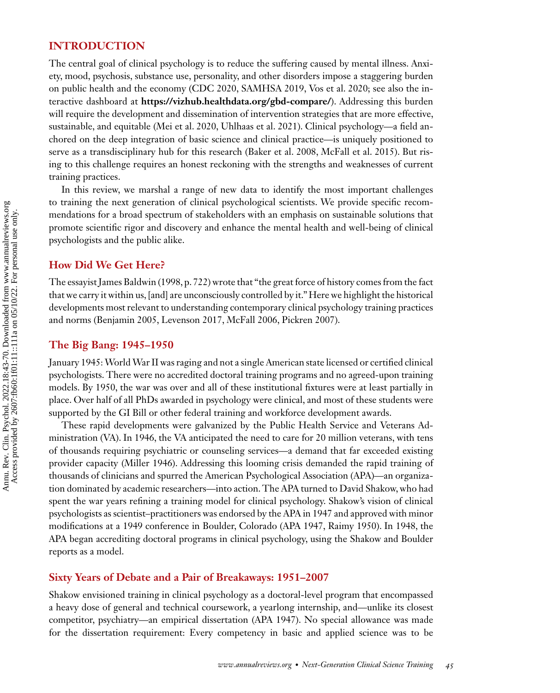#### **INTRODUCTION**

The central goal of clinical psychology is to reduce the suffering caused by mental illness. Anxiety, mood, psychosis, substance use, personality, and other disorders impose a staggering burden on public health and the economy [\(CDC 2020,](#page-23-0) [SAMHSA 2019,](#page-26-0) [Vos et al. 2020;](#page-27-0) see also the interactive dashboard at **<https://vizhub.healthdata.org/gbd-compare/>**). Addressing this burden will require the development and dissemination of intervention strategies that are more effective, sustainable, and equitable [\(Mei et al. 2020,](#page-25-0) [Uhlhaas et al. 2021\)](#page-26-0). Clinical psychology—a field anchored on the deep integration of basic science and clinical practice—is uniquely positioned to serve as a transdisciplinary hub for this research [\(Baker et al. 2008,](#page-23-0) [McFall et al. 2015\)](#page-25-0). But rising to this challenge requires an honest reckoning with the strengths and weaknesses of current training practices.

In this review, we marshal a range of new data to identify the most important challenges to training the next generation of clinical psychological scientists. We provide specific recommendations for a broad spectrum of stakeholders with an emphasis on sustainable solutions that promote scientific rigor and discovery and enhance the mental health and well-being of clinical psychologists and the public alike.

#### **How Did We Get Here?**

The essayist James [Baldwin \(1998,](#page-23-0) p. 722) wrote that "the great force of history comes from the fact that we carry it within us, [and] are unconsciously controlled by it."Here we highlight the historical developments most relevant to understanding contemporary clinical psychology training practices and norms [\(Benjamin 2005,](#page-23-0) [Levenson 2017, McFall 2006, Pickren 2007\)](#page-25-0).

#### **The Big Bang: 1945–1950**

January 1945:WorldWar II was raging and not a single American state licensed or certified clinical psychologists. There were no accredited doctoral training programs and no agreed-upon training models. By 1950, the war was over and all of these institutional fixtures were at least partially in place. Over half of all PhDs awarded in psychology were clinical, and most of these students were supported by the GI Bill or other federal training and workforce development awards.

These rapid developments were galvanized by the Public Health Service and Veterans Administration (VA). In 1946, the VA anticipated the need to care for 20 million veterans, with tens of thousands requiring psychiatric or counseling services—a demand that far exceeded existing provider capacity [\(Miller 1946\)](#page-25-0). Addressing this looming crisis demanded the rapid training of thousands of clinicians and spurred the American Psychological Association (APA)—an organization dominated by academic researchers—into action. The APA turned to David Shakow, who had spent the war years refining a training model for clinical psychology. Shakow's vision of clinical psychologists as scientist–practitioners was endorsed by the APA in 1947 and approved with minor modifications at a 1949 conference in Boulder, Colorado [\(APA 1947,](#page-23-0) [Raimy 1950\)](#page-26-0). In 1948, the APA began accrediting doctoral programs in clinical psychology, using the Shakow and Boulder reports as a model.

#### **Sixty Years of Debate and a Pair of Breakaways: 1951–2007**

Shakow envisioned training in clinical psychology as a doctoral-level program that encompassed a heavy dose of general and technical coursework, a yearlong internship, and—unlike its closest competitor, psychiatry—an empirical dissertation [\(APA 1947\)](#page-23-0). No special allowance was made for the dissertation requirement: Every competency in basic and applied science was to be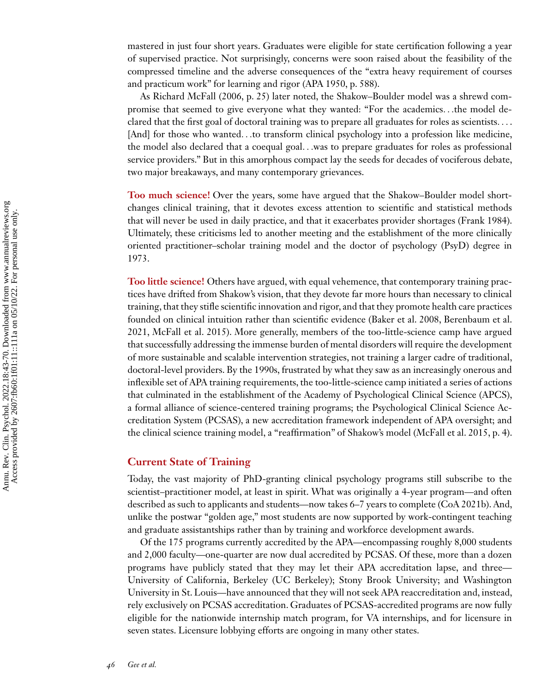mastered in just four short years. Graduates were eligible for state certification following a year of supervised practice. Not surprisingly, concerns were soon raised about the feasibility of the compressed timeline and the adverse consequences of the "extra heavy requirement of courses and practicum work" for learning and rigor [\(APA 1950,](#page-23-0) p. 588).

As Richard [McFall \(2006,](#page-25-0) p. 25) later noted, the Shakow–Boulder model was a shrewd compromise that seemed to give everyone what they wanted: "For the academics*...*the model declared that the first goal of doctoral training was to prepare all graduates for roles as scientists*...* . [And] for those who wanted...to transform clinical psychology into a profession like medicine, the model also declared that a coequal goal*...*was to prepare graduates for roles as professional service providers." But in this amorphous compact lay the seeds for decades of vociferous debate, two major breakaways, and many contemporary grievances.

**Too much science!** Over the years, some have argued that the Shakow–Boulder model shortchanges clinical training, that it devotes excess attention to scientific and statistical methods that will never be used in daily practice, and that it exacerbates provider shortages [\(Frank 1984\)](#page-24-0). Ultimately, these criticisms led to another meeting and the establishment of the more clinically oriented practitioner–scholar training model and the doctor of psychology (PsyD) degree in 1973.

**Too little science!** Others have argued, with equal vehemence, that contemporary training practices have drifted from Shakow's vision, that they devote far more hours than necessary to clinical training, that they stifle scientific innovation and rigor, and that they promote health care practices [founded on clinical intuition rather than scientific evidence \(Baker et al. 2008, Berenbaum et al.](#page-23-0) 2021, [McFall et al. 2015\)](#page-25-0). More generally, members of the too-little-science camp have argued that successfully addressing the immense burden of mental disorders will require the development of more sustainable and scalable intervention strategies, not training a larger cadre of traditional, doctoral-level providers. By the 1990s, frustrated by what they saw as an increasingly onerous and inflexible set of APA training requirements, the too-little-science camp initiated a series of actions that culminated in the establishment of the Academy of Psychological Clinical Science (APCS), a formal alliance of science-centered training programs; the Psychological Clinical Science Accreditation System (PCSAS), a new accreditation framework independent of APA oversight; and the clinical science training model, a "reaffirmation" of Shakow's model [\(McFall et al. 2015,](#page-25-0) p. 4).

#### **Current State of Training**

Today, the vast majority of PhD-granting clinical psychology programs still subscribe to the scientist–practitioner model, at least in spirit. What was originally a 4-year program—and often described as such to applicants and students—now takes 6–7 years to complete [\(CoA 2021b\)](#page-23-0). And, unlike the postwar "golden age," most students are now supported by work-contingent teaching and graduate assistantships rather than by training and workforce development awards.

Of the 175 programs currently accredited by the APA—encompassing roughly 8,000 students and 2,000 faculty—one-quarter are now dual accredited by PCSAS. Of these, more than a dozen programs have publicly stated that they may let their APA accreditation lapse, and three— University of California, Berkeley (UC Berkeley); Stony Brook University; and Washington University in St. Louis—have announced that they will not seek APA reaccreditation and, instead, rely exclusively on PCSAS accreditation. Graduates of PCSAS-accredited programs are now fully eligible for the nationwide internship match program, for VA internships, and for licensure in seven states. Licensure lobbying efforts are ongoing in many other states.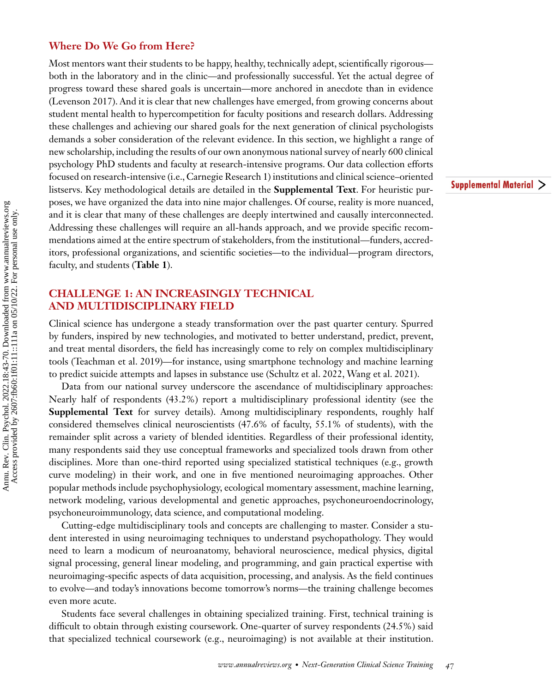#### **Where Do We Go from Here?**

Most mentors want their students to be happy, healthy, technically adept, scientifically rigorous both in the laboratory and in the clinic—and professionally successful. Yet the actual degree of progress toward these shared goals is uncertain—more anchored in anecdote than in evidence [\(Levenson 2017\)](#page-25-0). And it is clear that new challenges have emerged, from growing concerns about student mental health to hypercompetition for faculty positions and research dollars. Addressing these challenges and achieving our shared goals for the next generation of clinical psychologists demands a sober consideration of the relevant evidence. In this section, we highlight a range of new scholarship, including the results of our own anonymous national survey of nearly 600 clinical psychology PhD students and faculty at research-intensive programs. Our data collection efforts focused on research-intensive (i.e., Carnegie Research 1) institutions and clinical science–oriented listservs. Key methodological details are detailed in the **Supplemental Text**. For heuristic purposes, we have organized the data into nine major challenges. Of course, reality is more nuanced, and it is clear that many of these challenges are deeply intertwined and causally interconnected. Addressing these challenges will require an all-hands approach, and we provide specific recommendations aimed at the entire spectrum of stakeholders, from the institutional—funders, accreditors, professional organizations, and scientific societies—to the individual—program directors, faculty, and students (**[Table 1](#page-5-0)**).

#### **CHALLENGE 1: AN INCREASINGLY TECHNICAL AND MULTIDISCIPLINARY FIELD**

Clinical science has undergone a steady transformation over the past quarter century. Spurred by funders, inspired by new technologies, and motivated to better understand, predict, prevent, and treat mental disorders, the field has increasingly come to rely on complex multidisciplinary tools [\(Teachman et al. 2019\)](#page-26-0)—for instance, using smartphone technology and machine learning to predict suicide attempts and lapses in substance use [\(Schultz et al. 2022,](#page-26-0) [Wang et al. 2021\)](#page-27-0).

Data from our national survey underscore the ascendance of multidisciplinary approaches: Nearly half of respondents (43.2%) report a multidisciplinary professional identity (see the **Supplemental Text** for survey details). Among multidisciplinary respondents, roughly half considered themselves clinical neuroscientists (47.6% of faculty, 55.1% of students), with the remainder split across a variety of blended identities. Regardless of their professional identity, many respondents said they use conceptual frameworks and specialized tools drawn from other disciplines. More than one-third reported using specialized statistical techniques (e.g., growth curve modeling) in their work, and one in five mentioned neuroimaging approaches. Other popular methods include psychophysiology, ecological momentary assessment, machine learning, network modeling, various developmental and genetic approaches, psychoneuroendocrinology, psychoneuroimmunology, data science, and computational modeling.

Cutting-edge multidisciplinary tools and concepts are challenging to master. Consider a student interested in using neuroimaging techniques to understand psychopathology. They would need to learn a modicum of neuroanatomy, behavioral neuroscience, medical physics, digital signal processing, general linear modeling, and programming, and gain practical expertise with neuroimaging-specific aspects of data acquisition, processing, and analysis. As the field continues to evolve—and today's innovations become tomorrow's norms—the training challenge becomes even more acute.

Students face several challenges in obtaining specialized training. First, technical training is difficult to obtain through existing coursework. One-quarter of survey respondents (24.5%) said that specialized technical coursework (e.g., neuroimaging) is not available at their institution. Supplemental Material >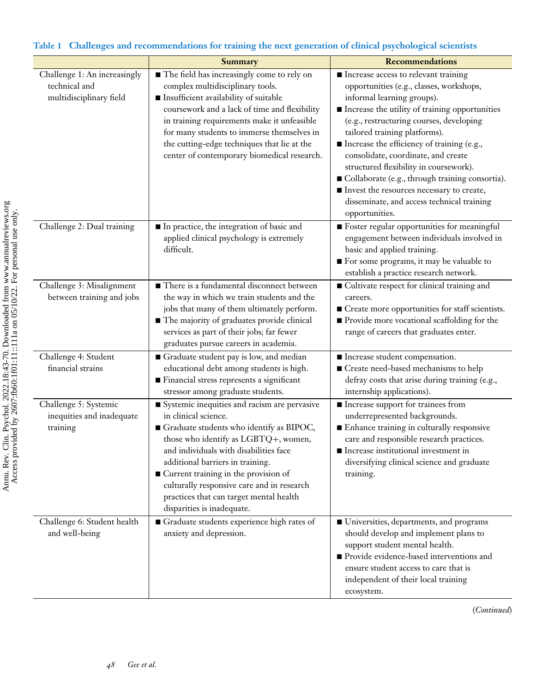|                                                                          | Summary                                                                                                                                                                                                                                                                                                                                                                                                                | <b>Recommendations</b>                                                                                                                                                                                                                                                                                                                                                                                                                                                                                                                       |
|--------------------------------------------------------------------------|------------------------------------------------------------------------------------------------------------------------------------------------------------------------------------------------------------------------------------------------------------------------------------------------------------------------------------------------------------------------------------------------------------------------|----------------------------------------------------------------------------------------------------------------------------------------------------------------------------------------------------------------------------------------------------------------------------------------------------------------------------------------------------------------------------------------------------------------------------------------------------------------------------------------------------------------------------------------------|
| Challenge 1: An increasingly<br>technical and<br>multidisciplinary field | The field has increasingly come to rely on<br>complex multidisciplinary tools.<br>Insufficient availability of suitable<br>coursework and a lack of time and flexibility<br>in training requirements make it unfeasible<br>for many students to immerse themselves in<br>the cutting-edge techniques that lie at the<br>center of contemporary biomedical research.                                                    | Increase access to relevant training<br>opportunities (e.g., classes, workshops,<br>informal learning groups).<br>Increase the utility of training opportunities<br>(e.g., restructuring courses, developing<br>tailored training platforms).<br>Increase the efficiency of training (e.g.,<br>consolidate, coordinate, and create<br>structured flexibility in coursework).<br>Collaborate (e.g., through training consortia).<br>Invest the resources necessary to create,<br>disseminate, and access technical training<br>opportunities. |
| Challenge 2: Dual training                                               | In practice, the integration of basic and<br>applied clinical psychology is extremely<br>difficult.                                                                                                                                                                                                                                                                                                                    | ■ Foster regular opportunities for meaningful<br>engagement between individuals involved in<br>basic and applied training.<br>For some programs, it may be valuable to<br>establish a practice research network.                                                                                                                                                                                                                                                                                                                             |
| Challenge 3: Misalignment<br>between training and jobs                   | There is a fundamental disconnect between<br>the way in which we train students and the<br>jobs that many of them ultimately perform.<br>The majority of graduates provide clinical<br>services as part of their jobs; far fewer<br>graduates pursue careers in academia.                                                                                                                                              | ■ Cultivate respect for clinical training and<br>careers.<br>■ Create more opportunities for staff scientists.<br>Provide more vocational scaffolding for the<br>range of careers that graduates enter.                                                                                                                                                                                                                                                                                                                                      |
| Challenge 4: Student<br>financial strains                                | Graduate student pay is low, and median<br>educational debt among students is high.<br>Financial stress represents a significant<br>stressor among graduate students.                                                                                                                                                                                                                                                  | Increase student compensation.<br>■ Create need-based mechanisms to help<br>defray costs that arise during training (e.g.,<br>internship applications).                                                                                                                                                                                                                                                                                                                                                                                      |
| Challenge 5: Systemic<br>inequities and inadequate<br>training           | Systemic inequities and racism are pervasive<br>in clinical science.<br>$\blacksquare$ Graduate students who identify as BIPOC,<br>those who identify as LGBTQ+, women,<br>and individuals with disabilities face<br>additional barriers in training.<br>■ Current training in the provision of<br>culturally responsive care and in research<br>practices that can target mental health<br>disparities is inadequate. | ■ Increase support for trainees from<br>underrepresented backgrounds.<br>Enhance training in culturally responsive<br>care and responsible research practices.<br>Increase institutional investment in<br>diversifying clinical science and graduate<br>training.                                                                                                                                                                                                                                                                            |
| Challenge 6: Student health<br>and well-being                            | Graduate students experience high rates of<br>anxiety and depression.                                                                                                                                                                                                                                                                                                                                                  | Universities, departments, and programs<br>should develop and implement plans to<br>support student mental health.<br>Provide evidence-based interventions and<br>ensure student access to care that is<br>independent of their local training<br>ecosystem.                                                                                                                                                                                                                                                                                 |

#### <span id="page-5-0"></span>**Table 1 Challenges and recommendations for training the next generation of clinical psychological scientists**

(*Continued*)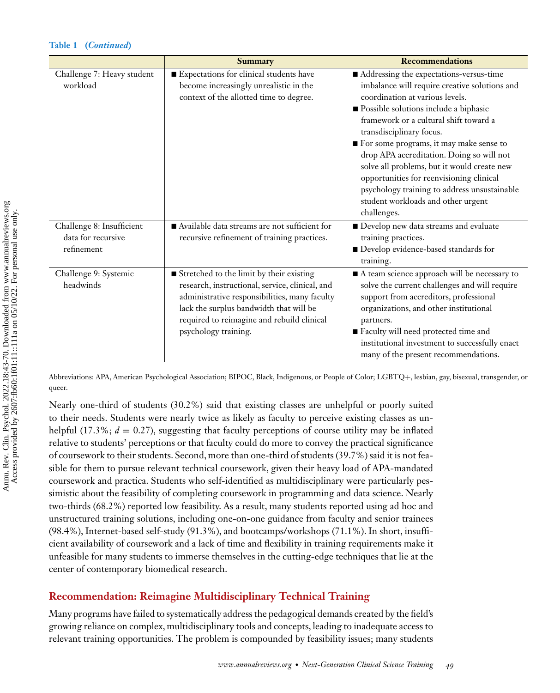|                                                               | Summary                                                                                                                                                                                                                                                         | <b>Recommendations</b>                                                                                                                                                                                                                                                                                                                                                                                                                                                                                                             |
|---------------------------------------------------------------|-----------------------------------------------------------------------------------------------------------------------------------------------------------------------------------------------------------------------------------------------------------------|------------------------------------------------------------------------------------------------------------------------------------------------------------------------------------------------------------------------------------------------------------------------------------------------------------------------------------------------------------------------------------------------------------------------------------------------------------------------------------------------------------------------------------|
| Challenge 7: Heavy student<br>workload                        | Expectations for clinical students have<br>become increasingly unrealistic in the<br>context of the allotted time to degree.                                                                                                                                    | Addressing the expectations-versus-time<br>imbalance will require creative solutions and<br>coordination at various levels.<br>Possible solutions include a biphasic<br>framework or a cultural shift toward a<br>transdisciplinary focus.<br>For some programs, it may make sense to<br>drop APA accreditation. Doing so will not<br>solve all problems, but it would create new<br>opportunities for reenvisioning clinical<br>psychology training to address unsustainable<br>student workloads and other urgent<br>challenges. |
| Challenge 8: Insufficient<br>data for recursive<br>refinement | Available data streams are not sufficient for<br>recursive refinement of training practices.                                                                                                                                                                    | Develop new data streams and evaluate<br>training practices.<br>Develop evidence-based standards for<br>training.                                                                                                                                                                                                                                                                                                                                                                                                                  |
| Challenge 9: Systemic<br>headwinds                            | ■ Stretched to the limit by their existing<br>research, instructional, service, clinical, and<br>administrative responsibilities, many faculty<br>lack the surplus bandwidth that will be<br>required to reimagine and rebuild clinical<br>psychology training. | A team science approach will be necessary to<br>solve the current challenges and will require<br>support from accreditors, professional<br>organizations, and other institutional<br>partners.<br>Faculty will need protected time and<br>institutional investment to successfully enact<br>many of the present recommendations.                                                                                                                                                                                                   |

Abbreviations: APA, American Psychological Association; BIPOC, Black, Indigenous, or People of Color; LGBTQ+, lesbian, gay, bisexual, transgender, or queer.

Nearly one-third of students (30.2%) said that existing classes are unhelpful or poorly suited to their needs. Students were nearly twice as likely as faculty to perceive existing classes as unhelpful (17.3%;  $d = 0.27$ ), suggesting that faculty perceptions of course utility may be inflated relative to students' perceptions or that faculty could do more to convey the practical significance of coursework to their students. Second, more than one-third of students (39.7%) said it is not feasible for them to pursue relevant technical coursework, given their heavy load of APA-mandated coursework and practica. Students who self-identified as multidisciplinary were particularly pessimistic about the feasibility of completing coursework in programming and data science. Nearly two-thirds (68.2%) reported low feasibility. As a result, many students reported using ad hoc and unstructured training solutions, including one-on-one guidance from faculty and senior trainees (98.4%), Internet-based self-study (91.3%), and bootcamps/workshops (71.1%). In short, insufficient availability of coursework and a lack of time and flexibility in training requirements make it unfeasible for many students to immerse themselves in the cutting-edge techniques that lie at the center of contemporary biomedical research.

#### **Recommendation: Reimagine Multidisciplinary Technical Training**

Many programs have failed to systematically address the pedagogical demands created by the field's growing reliance on complex, multidisciplinary tools and concepts, leading to inadequate access to relevant training opportunities. The problem is compounded by feasibility issues; many students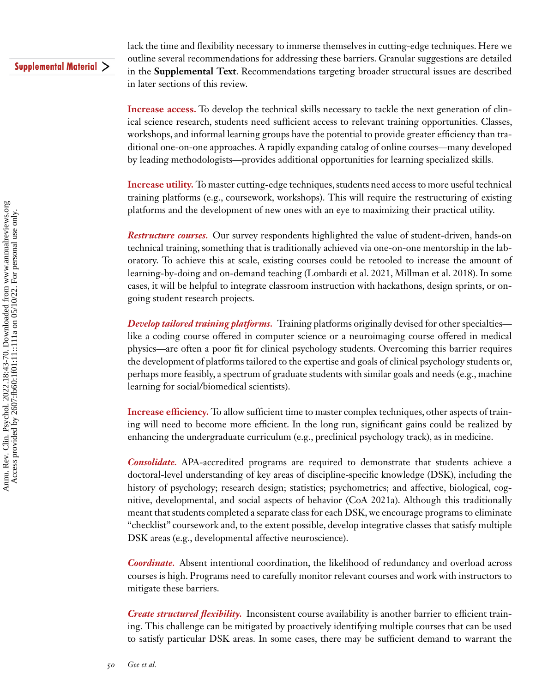#### Supplemental Material >

lack the time and flexibility necessary to immerse themselves in cutting-edge techniques. Here we outline several recommendations for addressing these barriers. Granular suggestions are detailed in the **Supplemental Text**. Recommendations targeting broader structural issues are described in later sections of this review.

**Increase access.** To develop the technical skills necessary to tackle the next generation of clinical science research, students need sufficient access to relevant training opportunities. Classes, workshops, and informal learning groups have the potential to provide greater efficiency than traditional one-on-one approaches. A rapidly expanding catalog of online courses—many developed by leading methodologists—provides additional opportunities for learning specialized skills.

**Increase utility.** To master cutting-edge techniques, students need access to more useful technical training platforms (e.g., coursework, workshops). This will require the restructuring of existing platforms and the development of new ones with an eye to maximizing their practical utility.

*Restructure courses.* Our survey respondents highlighted the value of student-driven, hands-on technical training, something that is traditionally achieved via one-on-one mentorship in the laboratory. To achieve this at scale, existing courses could be retooled to increase the amount of learning-by-doing and on-demand teaching [\(Lombardi et al. 2021, Millman et al. 2018\)](#page-25-0). In some cases, it will be helpful to integrate classroom instruction with hackathons, design sprints, or ongoing student research projects.

*Develop tailored training platforms.* Training platforms originally devised for other specialties like a coding course offered in computer science or a neuroimaging course offered in medical physics—are often a poor fit for clinical psychology students. Overcoming this barrier requires the development of platforms tailored to the expertise and goals of clinical psychology students or, perhaps more feasibly, a spectrum of graduate students with similar goals and needs (e.g., machine learning for social/biomedical scientists).

**Increase efficiency.** To allow sufficient time to master complex techniques, other aspects of training will need to become more efficient. In the long run, significant gains could be realized by enhancing the undergraduate curriculum (e.g., preclinical psychology track), as in medicine.

*Consolidate.* APA-accredited programs are required to demonstrate that students achieve a doctoral-level understanding of key areas of discipline-specific knowledge (DSK), including the history of psychology; research design; statistics; psychometrics; and affective, biological, cognitive, developmental, and social aspects of behavior [\(CoA 2021a\)](#page-23-0). Although this traditionally meant that students completed a separate class for each DSK, we encourage programs to eliminate "checklist" coursework and, to the extent possible, develop integrative classes that satisfy multiple DSK areas (e.g., developmental affective neuroscience).

*Coordinate.* Absent intentional coordination, the likelihood of redundancy and overload across courses is high. Programs need to carefully monitor relevant courses and work with instructors to mitigate these barriers.

*Create structured flexibility.* Inconsistent course availability is another barrier to efficient training. This challenge can be mitigated by proactively identifying multiple courses that can be used to satisfy particular DSK areas. In some cases, there may be sufficient demand to warrant the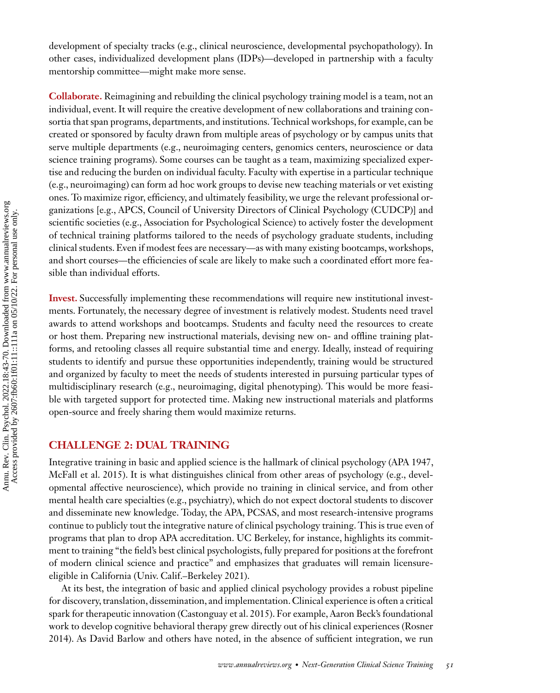development of specialty tracks (e.g., clinical neuroscience, developmental psychopathology). In other cases, individualized development plans (IDPs)—developed in partnership with a faculty mentorship committee—might make more sense.

**Collaborate.** Reimagining and rebuilding the clinical psychology training model is a team, not an individual, event. It will require the creative development of new collaborations and training consortia that span programs, departments, and institutions. Technical workshops, for example, can be created or sponsored by faculty drawn from multiple areas of psychology or by campus units that serve multiple departments (e.g., neuroimaging centers, genomics centers, neuroscience or data science training programs). Some courses can be taught as a team, maximizing specialized expertise and reducing the burden on individual faculty. Faculty with expertise in a particular technique (e.g., neuroimaging) can form ad hoc work groups to devise new teaching materials or vet existing ones. To maximize rigor, efficiency, and ultimately feasibility, we urge the relevant professional organizations [e.g., APCS, Council of University Directors of Clinical Psychology (CUDCP)] and scientific societies (e.g., Association for Psychological Science) to actively foster the development of technical training platforms tailored to the needs of psychology graduate students, including clinical students. Even if modest fees are necessary—as with many existing bootcamps, workshops, and short courses—the efficiencies of scale are likely to make such a coordinated effort more feasible than individual efforts.

**Invest.** Successfully implementing these recommendations will require new institutional investments. Fortunately, the necessary degree of investment is relatively modest. Students need travel awards to attend workshops and bootcamps. Students and faculty need the resources to create or host them. Preparing new instructional materials, devising new on- and offline training platforms, and retooling classes all require substantial time and energy. Ideally, instead of requiring students to identify and pursue these opportunities independently, training would be structured and organized by faculty to meet the needs of students interested in pursuing particular types of multidisciplinary research (e.g., neuroimaging, digital phenotyping). This would be more feasible with targeted support for protected time. Making new instructional materials and platforms open-source and freely sharing them would maximize returns.

#### **CHALLENGE 2: DUAL TRAINING**

Integrative training in basic and applied science is the hallmark of clinical psychology [\(APA 1947,](#page-23-0) [McFall et al. 2015\)](#page-25-0). It is what distinguishes clinical from other areas of psychology (e.g., developmental affective neuroscience), which provide no training in clinical service, and from other mental health care specialties (e.g., psychiatry), which do not expect doctoral students to discover and disseminate new knowledge. Today, the APA, PCSAS, and most research-intensive programs continue to publicly tout the integrative nature of clinical psychology training. This is true even of programs that plan to drop APA accreditation. UC Berkeley, for instance, highlights its commitment to training "the field's best clinical psychologists, fully prepared for positions at the forefront of modern clinical science and practice" and emphasizes that graduates will remain licensureeligible in California [\(Univ. Calif.–Berkeley 2021\)](#page-26-0).

At its best, the integration of basic and applied clinical psychology provides a robust pipeline for discovery, translation, dissemination, and implementation. Clinical experience is often a critical spark for therapeutic innovation [\(Castonguay et al. 2015\)](#page-23-0). For example, Aaron Beck's foundational [work to develop cognitive behavioral therapy grew directly out of his clinical experiences \(Rosner](#page-26-0) 2014). As David Barlow and others have noted, in the absence of sufficient integration, we run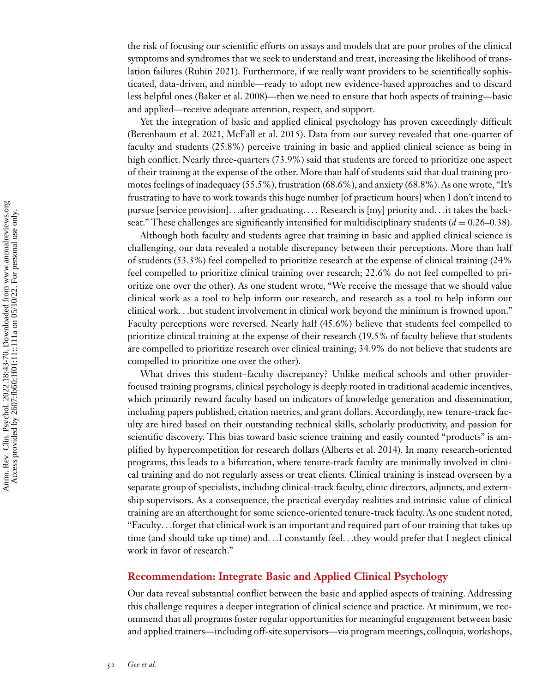the risk of focusing our scientific efforts on assays and models that are poor probes of the clinical symptoms and syndromes that we seek to understand and treat, increasing the likelihood of translation failures [\(Rubin 2021\)](#page-26-0). Furthermore, if we really want providers to be scientifically sophisticated, data-driven, and nimble—ready to adopt new evidence-based approaches and to discard less helpful ones [\(Baker et al. 2008\)](#page-23-0)—then we need to ensure that both aspects of training—basic and applied—receive adequate attention, respect, and support.

Yet the integration of basic and applied clinical psychology has proven exceedingly difficult [\(Berenbaum et al. 2021,](#page-23-0) [McFall et al. 2015\)](#page-25-0). Data from our survey revealed that one-quarter of faculty and students (25.8%) perceive training in basic and applied clinical science as being in high conflict. Nearly three-quarters (73.9%) said that students are forced to prioritize one aspect of their training at the expense of the other. More than half of students said that dual training promotes feelings of inadequacy (55.5%), frustration (68.6%), and anxiety (68.8%). As one wrote, "It's frustrating to have to work towards this huge number [of practicum hours] when I don't intend to pursue [service provision]*...*after graduating.*...* Research is [my] priority and*...*it takes the backseat." These challenges are significantly intensified for multidisciplinary students  $(d = 0.26-0.38)$ .

Although both faculty and students agree that training in basic and applied clinical science is challenging, our data revealed a notable discrepancy between their perceptions. More than half of students (53.3%) feel compelled to prioritize research at the expense of clinical training (24% feel compelled to prioritize clinical training over research; 22.6% do not feel compelled to prioritize one over the other). As one student wrote, "We receive the message that we should value clinical work as a tool to help inform our research, and research as a tool to help inform our clinical work*...*but student involvement in clinical work beyond the minimum is frowned upon." Faculty perceptions were reversed. Nearly half (45.6%) believe that students feel compelled to prioritize clinical training at the expense of their research (19.5% of faculty believe that students are compelled to prioritize research over clinical training; 34.9% do not believe that students are compelled to prioritize one over the other).

What drives this student–faculty discrepancy? Unlike medical schools and other providerfocused training programs, clinical psychology is deeply rooted in traditional academic incentives, which primarily reward faculty based on indicators of knowledge generation and dissemination, including papers published, citation metrics, and grant dollars. Accordingly, new tenure-track faculty are hired based on their outstanding technical skills, scholarly productivity, and passion for scientific discovery. This bias toward basic science training and easily counted "products" is amplified by hypercompetition for research dollars [\(Alberts et al. 2014\)](#page-23-0). In many research-oriented programs, this leads to a bifurcation, where tenure-track faculty are minimally involved in clinical training and do not regularly assess or treat clients. Clinical training is instead overseen by a separate group of specialists, including clinical-track faculty, clinic directors, adjuncts, and externship supervisors. As a consequence, the practical everyday realities and intrinsic value of clinical training are an afterthought for some science-oriented tenure-track faculty. As one student noted, "Faculty*...*forget that clinical work is an important and required part of our training that takes up time (and should take up time) and*...*I constantly feel*...*they would prefer that I neglect clinical work in favor of research."

#### **Recommendation: Integrate Basic and Applied Clinical Psychology**

Our data reveal substantial conflict between the basic and applied aspects of training. Addressing this challenge requires a deeper integration of clinical science and practice. At minimum, we recommend that all programs foster regular opportunities for meaningful engagement between basic and applied trainers—including off-site supervisors—via program meetings, colloquia, workshops,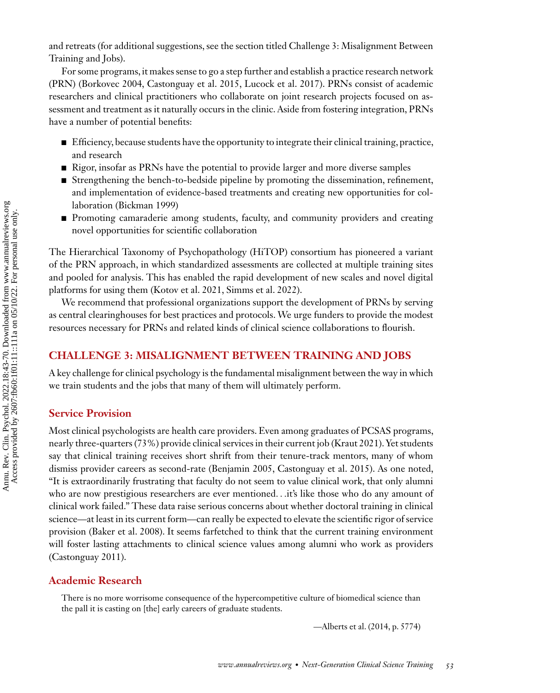and retreats (for additional suggestions, see the section titled Challenge 3: Misalignment Between Training and Jobs).

For some programs, it makes sense to go a step further and establish a practice research network (PRN) [\(Borkovec 2004, Castonguay et al. 2015,](#page-23-0) [Lucock et al. 2017\)](#page-25-0). PRNs consist of academic researchers and clinical practitioners who collaborate on joint research projects focused on assessment and treatment as it naturally occurs in the clinic. Aside from fostering integration, PRNs have a number of potential benefits:

- Efficiency, because students have the opportunity to integrate their clinical training, practice, and research
- Rigor, insofar as PRNs have the potential to provide larger and more diverse samples
- Strengthening the bench-to-bedside pipeline by promoting the dissemination, refinement, and implementation of evidence-based treatments and creating new opportunities for collaboration [\(Bickman 1999\)](#page-23-0)
- **Promoting camaraderie among students, faculty, and community providers and creating** novel opportunities for scientific collaboration

The Hierarchical Taxonomy of Psychopathology (HiTOP) consortium has pioneered a variant of the PRN approach, in which standardized assessments are collected at multiple training sites and pooled for analysis. This has enabled the rapid development of new scales and novel digital platforms for using them [\(Kotov et al. 2021,](#page-24-0) [Simms et al. 2022\)](#page-26-0).

We recommend that professional organizations support the development of PRNs by serving as central clearinghouses for best practices and protocols. We urge funders to provide the modest resources necessary for PRNs and related kinds of clinical science collaborations to flourish.

#### **CHALLENGE 3: MISALIGNMENT BETWEEN TRAINING AND JOBS**

A key challenge for clinical psychology is the fundamental misalignment between the way in which we train students and the jobs that many of them will ultimately perform.

#### **Service Provision**

Most clinical psychologists are health care providers. Even among graduates of PCSAS programs, nearly three-quarters (73%) provide clinical services in their current job [\(Kraut 2021\)](#page-25-0). Yet students say that clinical training receives short shrift from their tenure-track mentors, many of whom dismiss provider careers as second-rate [\(Benjamin 2005, Castonguay et al. 2015\)](#page-23-0). As one noted, "It is extraordinarily frustrating that faculty do not seem to value clinical work, that only alumni who are now prestigious researchers are ever mentioned*...*it's like those who do any amount of clinical work failed." These data raise serious concerns about whether doctoral training in clinical science—at least in its current form—can really be expected to elevate the scientific rigor of service provision [\(Baker et al. 2008\)](#page-23-0). It seems farfetched to think that the current training environment will foster lasting attachments to clinical science values among alumni who work as providers [\(Castonguay 2011\)](#page-23-0).

#### **Academic Research**

There is no more worrisome consequence of the hypercompetitive culture of biomedical science than the pall it is casting on [the] early careers of graduate students.

[—Alberts et al. \(2014,](#page-23-0) p. 5774)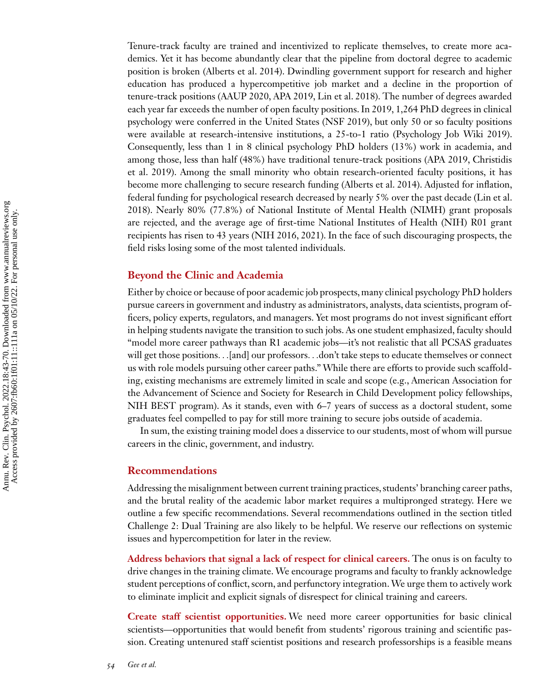Tenure-track faculty are trained and incentivized to replicate themselves, to create more academics. Yet it has become abundantly clear that the pipeline from doctoral degree to academic position is broken [\(Alberts et al. 2014\)](#page-23-0). Dwindling government support for research and higher education has produced a hypercompetitive job market and a decline in the proportion of tenure-track positions [\(AAUP 2020,](#page-22-0) [APA 2019,](#page-23-0) [Lin et al. 2018\)](#page-25-0). The number of degrees awarded each year far exceeds the number of open faculty positions. In 2019, 1,264 PhD degrees in clinical psychology were conferred in the United States [\(NSF 2019\)](#page-25-0), but only 50 or so faculty positions were available at research-intensive institutions, a 25-to-1 ratio [\(Psychology Job Wiki 2019\)](#page-26-0). Consequently, less than 1 in 8 clinical psychology PhD holders (13%) work in academia, and [among those, less than half \(48%\) have traditional tenure-track positions \(APA 2019, Christidis](#page-23-0) et al. 2019). Among the small minority who obtain research-oriented faculty positions, it has become more challenging to secure research funding [\(Alberts et al. 2014\)](#page-23-0). Adjusted for inflation, [federal funding for psychological research decreased by nearly 5% over the past decade \(Lin et al.](#page-25-0) 2018). Nearly 80% (77.8%) of National Institute of Mental Health (NIMH) grant proposals are rejected, and the average age of first-time National Institutes of Health (NIH) R01 grant recipients has risen to 43 years [\(NIH 2016, 2021\)](#page-25-0). In the face of such discouraging prospects, the field risks losing some of the most talented individuals.

#### **Beyond the Clinic and Academia**

Either by choice or because of poor academic job prospects, many clinical psychology PhD holders pursue careers in government and industry as administrators, analysts, data scientists, program officers, policy experts, regulators, and managers. Yet most programs do not invest significant effort in helping students navigate the transition to such jobs. As one student emphasized, faculty should "model more career pathways than R1 academic jobs—it's not realistic that all PCSAS graduates will get those positions*...*[and] our professors*...*don't take steps to educate themselves or connect us with role models pursuing other career paths."While there are efforts to provide such scaffolding, existing mechanisms are extremely limited in scale and scope (e.g., American Association for the Advancement of Science and Society for Research in Child Development policy fellowships, NIH BEST program). As it stands, even with 6–7 years of success as a doctoral student, some graduates feel compelled to pay for still more training to secure jobs outside of academia.

In sum, the existing training model does a disservice to our students, most of whom will pursue careers in the clinic, government, and industry.

#### **Recommendations**

Addressing the misalignment between current training practices, students' branching career paths, and the brutal reality of the academic labor market requires a multipronged strategy. Here we outline a few specific recommendations. Several recommendations outlined in the section titled Challenge 2: Dual Training are also likely to be helpful. We reserve our reflections on systemic issues and hypercompetition for later in the review.

**Address behaviors that signal a lack of respect for clinical careers.** The onus is on faculty to drive changes in the training climate. We encourage programs and faculty to frankly acknowledge student perceptions of conflict, scorn, and perfunctory integration.We urge them to actively work to eliminate implicit and explicit signals of disrespect for clinical training and careers.

**Create staff scientist opportunities.** We need more career opportunities for basic clinical scientists—opportunities that would benefit from students' rigorous training and scientific passion. Creating untenured staff scientist positions and research professorships is a feasible means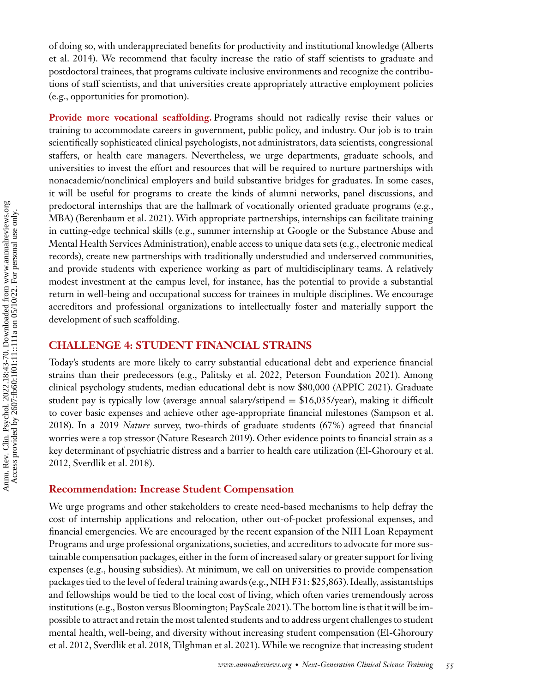[of doing so, with underappreciated benefits for productivity and institutional knowledge \(Alberts](#page-23-0) et al. 2014). We recommend that faculty increase the ratio of staff scientists to graduate and postdoctoral trainees, that programs cultivate inclusive environments and recognize the contributions of staff scientists, and that universities create appropriately attractive employment policies (e.g., opportunities for promotion).

Provide more vocational scaffolding. Programs should not radically revise their values or training to accommodate careers in government, public policy, and industry. Our job is to train scientifically sophisticated clinical psychologists, not administrators, data scientists, congressional staffers, or health care managers. Nevertheless, we urge departments, graduate schools, and universities to invest the effort and resources that will be required to nurture partnerships with nonacademic/nonclinical employers and build substantive bridges for graduates. In some cases, it will be useful for programs to create the kinds of alumni networks, panel discussions, and predoctoral internships that are the hallmark of vocationally oriented graduate programs (e.g., MBA) [\(Berenbaum et al. 2021\)](#page-23-0). With appropriate partnerships, internships can facilitate training in cutting-edge technical skills (e.g., summer internship at Google or the Substance Abuse and Mental Health Services Administration), enable access to unique data sets (e.g., electronic medical records), create new partnerships with traditionally understudied and underserved communities, and provide students with experience working as part of multidisciplinary teams. A relatively modest investment at the campus level, for instance, has the potential to provide a substantial return in well-being and occupational success for trainees in multiple disciplines. We encourage accreditors and professional organizations to intellectually foster and materially support the development of such scaffolding.

#### **CHALLENGE 4: STUDENT FINANCIAL STRAINS**

Today's students are more likely to carry substantial educational debt and experience financial strains than their predecessors (e.g., [Palitsky et al. 2022, Peterson Foundation 2021\)](#page-25-0). Among clinical psychology students, median educational debt is now \$80,000 [\(APPIC 2021\)](#page-23-0). Graduate student pay is typically low (average annual salary/stipend  $= $16,035$ /year), making it difficult [to cover basic expenses and achieve other age-appropriate financial milestones \(Sampson et al.](#page-26-0) 2018). In a 2019 *Nature* survey, two-thirds of graduate students (67%) agreed that financial worries were a top stressor [\(Nature Research 2019\)](#page-25-0). Other evidence points to financial strain as a [key determinant of psychiatric distress and a barrier to health care utilization \(El-Ghoroury et al.](#page-24-0) 2012, [Sverdlik et al. 2018\)](#page-26-0).

#### **Recommendation: Increase Student Compensation**

We urge programs and other stakeholders to create need-based mechanisms to help defray the cost of internship applications and relocation, other out-of-pocket professional expenses, and financial emergencies. We are encouraged by the recent expansion of the NIH Loan Repayment Programs and urge professional organizations, societies, and accreditors to advocate for more sustainable compensation packages, either in the form of increased salary or greater support for living expenses (e.g., housing subsidies). At minimum, we call on universities to provide compensation packages tied to the level of federal training awards (e.g., NIH F31: \$25,863). Ideally, assistantships and fellowships would be tied to the local cost of living, which often varies tremendously across institutions (e.g., Boston versus Bloomington; [PayScale 2021\)](#page-25-0). The bottom line is that it will be impossible to attract and retain the most talented students and to address urgent challenges to student [mental health, well-being, and diversity without increasing student compensation \(El-Ghoroury](#page-24-0) et al. 2012, [Sverdlik et al. 2018, Tilghman et al. 2021\)](#page-26-0). While we recognize that increasing student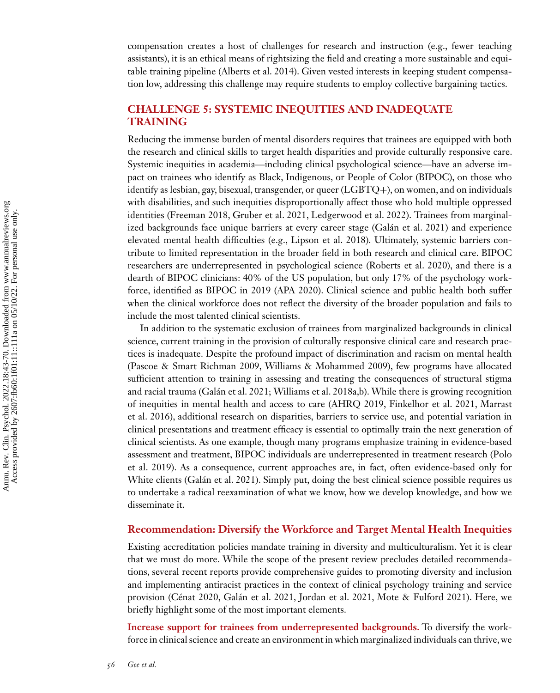compensation creates a host of challenges for research and instruction (e.g., fewer teaching assistants), it is an ethical means of rightsizing the field and creating a more sustainable and equitable training pipeline [\(Alberts et al. 2014\)](#page-23-0). Given vested interests in keeping student compensation low, addressing this challenge may require students to employ collective bargaining tactics.

#### **CHALLENGE 5: SYSTEMIC INEQUITIES AND INADEQUATE TRAINING**

Reducing the immense burden of mental disorders requires that trainees are equipped with both the research and clinical skills to target health disparities and provide culturally responsive care. Systemic inequities in academia—including clinical psychological science—have an adverse impact on trainees who identify as Black, Indigenous, or People of Color (BIPOC), on those who identify as lesbian, gay, bisexual, transgender, or queer (LGBTQ+), on women, and on individuals with disabilities, and such inequities disproportionally affect those who hold multiple oppressed identities [\(Freeman 2018, Gruber et al. 2021,](#page-24-0) [Ledgerwood et al. 2022\)](#page-25-0). Trainees from marginalized backgrounds face unique barriers at every career stage [\(Galán et al. 2021\)](#page-24-0) and experience elevated mental health difficulties (e.g., [Lipson et al. 2018\)](#page-25-0). Ultimately, systemic barriers contribute to limited representation in the broader field in both research and clinical care. BIPOC researchers are underrepresented in psychological science [\(Roberts et al. 2020\)](#page-26-0), and there is a dearth of BIPOC clinicians: 40% of the US population, but only 17% of the psychology workforce, identified as BIPOC in 2019 [\(APA 2020\)](#page-23-0). Clinical science and public health both suffer when the clinical workforce does not reflect the diversity of the broader population and fails to include the most talented clinical scientists.

In addition to the systematic exclusion of trainees from marginalized backgrounds in clinical science, current training in the provision of culturally responsive clinical care and research practices is inadequate. Despite the profound impact of discrimination and racism on mental health [\(Pascoe & Smart Richman 2009,](#page-25-0) [Williams & Mohammed 2009\)](#page-27-0), few programs have allocated sufficient attention to training in assessing and treating the consequences of structural stigma and racial trauma [\(Galán et al. 2021;](#page-24-0) [Williams et al. 2018a,b\)](#page-27-0). While there is growing recognition [of inequities in mental health and access to care \(](#page-25-0)[AHRQ 2019](#page-23-0)[, Finkelhor et al. 2021, Marrast](#page-25-0) et al. 2016), additional research on disparities, barriers to service use, and potential variation in clinical presentations and treatment efficacy is essential to optimally train the next generation of clinical scientists. As one example, though many programs emphasize training in evidence-based [assessment and treatment, BIPOC individuals are underrepresented in treatment research \(Polo](#page-26-0) et al. 2019). As a consequence, current approaches are, in fact, often evidence-based only for White clients [\(Galán et al. 2021\)](#page-24-0). Simply put, doing the best clinical science possible requires us to undertake a radical reexamination of what we know, how we develop knowledge, and how we disseminate it.

#### **Recommendation: Diversify the Workforce and Target Mental Health Inequities**

Existing accreditation policies mandate training in diversity and multiculturalism. Yet it is clear that we must do more. While the scope of the present review precludes detailed recommendations, several recent reports provide comprehensive guides to promoting diversity and inclusion and implementing antiracist practices in the context of clinical psychology training and service provision [\(Cénat 2020,](#page-23-0) [Galán et al. 2021, Jordan et al. 2021,](#page-24-0) [Mote & Fulford 2021\)](#page-25-0). Here, we briefly highlight some of the most important elements.

**Increase support for trainees from underrepresented backgrounds.** To diversify the workforce in clinical science and create an environment in which marginalized individuals can thrive, we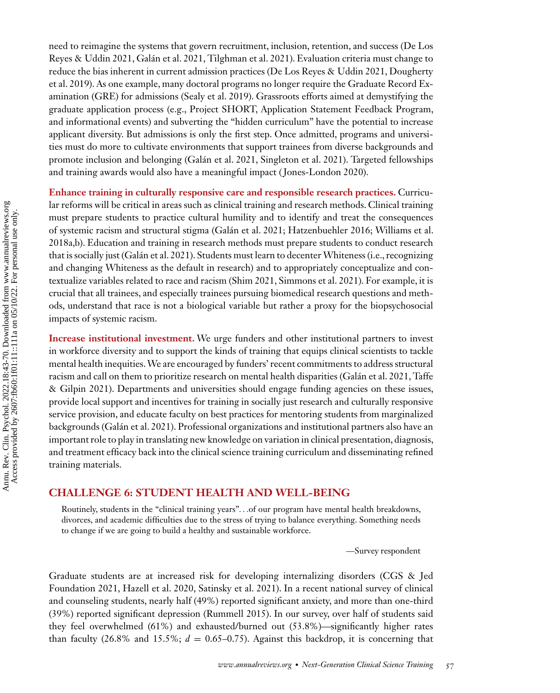need to reimagine the systems that govern recruitment, inclusion, retention, and success (De Los [Reyes & Uddin 2021, Galán et al. 2021, Tilghman et al. 2021\). Evaluation criteria must change to](#page-24-0) reduce the bias inherent in current admission practices [\(De Los Reyes & Uddin 2021,](#page-24-0) Dougherty [et al. 2019\). As one example, many doctoral programs no longer require the Graduate Record Ex](#page-24-0)amination (GRE) for admissions [\(Sealy et al. 2019\)](#page-26-0). Grassroots efforts aimed at demystifying the graduate application process (e.g., Project SHORT, Application Statement Feedback Program, and informational events) and subverting the "hidden curriculum" have the potential to increase applicant diversity. But admissions is only the first step. Once admitted, programs and universities must do more to cultivate environments that support trainees from diverse backgrounds and promote inclusion and belonging [\(Galán et al. 2021,](#page-24-0) [Singleton et al. 2021\)](#page-26-0). Targeted fellowships and training awards would also have a meaningful impact ( [Jones-London 2020\)](#page-24-0).

**Enhance training in culturally responsive care and responsible research practices.** Curricular reforms will be critical in areas such as clinical training and research methods. Clinical training must prepare students to practice cultural humility and to identify and treat the consequences [of systemic racism and structural stigma \(Galán et al. 2021; Hatzenbuehler 2016; Williams et al.](#page-27-0) 2018a[,b\)](#page-27-0). Education and training in research methods must prepare students to conduct research that is socially just [\(Galán et al. 2021\)](#page-24-0). Students must learn to decenter Whiteness (i.e., recognizing and changing Whiteness as the default in research) and to appropriately conceptualize and contextualize variables related to race and racism [\(Shim 2021, Simmons et al. 2021\)](#page-26-0). For example, it is crucial that all trainees, and especially trainees pursuing biomedical research questions and methods, understand that race is not a biological variable but rather a proxy for the biopsychosocial impacts of systemic racism.

**Increase institutional investment.** We urge funders and other institutional partners to invest in workforce diversity and to support the kinds of training that equips clinical scientists to tackle mental health inequities.We are encouraged by funders' recent commitments to address structural racism and call on them to prioritize research on mental health disparities [\(Galán et al. 2021,](#page-24-0) Taffe [& Gilpin 2021\). Departments and universities should engage funding agencies on these issues,](#page-26-0) provide local support and incentives for training in socially just research and culturally responsive service provision, and educate faculty on best practices for mentoring students from marginalized backgrounds [\(Galán et al. 2021\)](#page-24-0). Professional organizations and institutional partners also have an important role to play in translating new knowledge on variation in clinical presentation, diagnosis, and treatment efficacy back into the clinical science training curriculum and disseminating refined training materials.

#### **CHALLENGE 6: STUDENT HEALTH AND WELL-BEING**

Routinely, students in the "clinical training years"*...*of our program have mental health breakdowns, divorces, and academic difficulties due to the stress of trying to balance everything. Something needs to change if we are going to build a healthy and sustainable workforce.

—Survey respondent

Graduate students are at increased risk for developing internalizing disorders (CGS & Jed [Foundation 2021, Hazell et al. 2020, Satinsky et al. 2021\). In a recent national survey of clinical](#page-23-0) and counseling students, nearly half (49%) reported significant anxiety, and more than one-third (39%) reported significant depression [\(Rummell 2015\)](#page-26-0). In our survey, over half of students said they feel overwhelmed (61%) and exhausted/burned out (53.8%)—significantly higher rates than faculty (26.8% and 15.5%;  $d = 0.65 - 0.75$ ). Against this backdrop, it is concerning that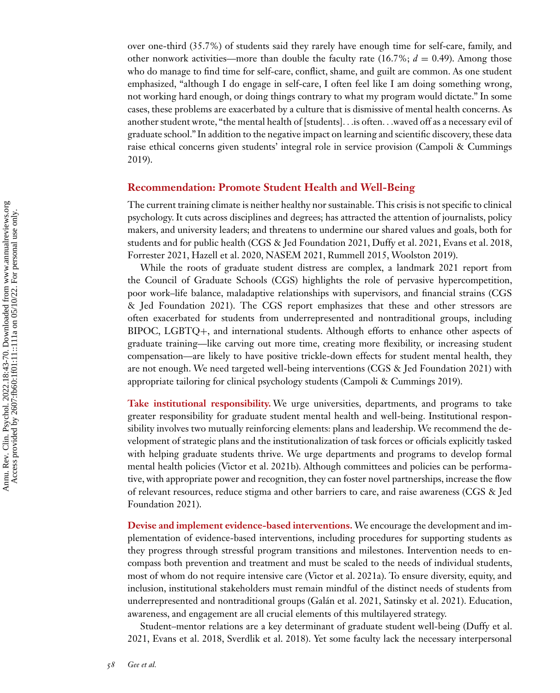over one-third (35.7%) of students said they rarely have enough time for self-care, family, and other nonwork activities—more than double the faculty rate  $(16.7\%; d = 0.49)$ . Among those who do manage to find time for self-care, conflict, shame, and guilt are common. As one student emphasized, "although I do engage in self-care, I often feel like I am doing something wrong, not working hard enough, or doing things contrary to what my program would dictate." In some cases, these problems are exacerbated by a culture that is dismissive of mental health concerns. As another student wrote, "the mental health of [students]*...*is often*...*waved off as a necessary evil of graduate school." In addition to the negative impact on learning and scientific discovery, these data [raise ethical concerns given students' integral role in service provision \(Campoli & Cummings](#page-23-0) 2019).

#### **Recommendation: Promote Student Health and Well-Being**

The current training climate is neither healthy nor sustainable. This crisis is not specific to clinical psychology. It cuts across disciplines and degrees; has attracted the attention of journalists, policy makers, and university leaders; and threatens to undermine our shared values and goals, both for students and for public health [\(CGS & Jed Foundation 2021,](#page-23-0) [Duffy et al. 2021, Evans et al. 2018,](#page-24-0) [Forrester 2021, Hazell et al. 2020,](#page-24-0) [NASEM 2021,](#page-25-0) [Rummell 2015,](#page-26-0) [Woolston 2019\)](#page-27-0).

While the roots of graduate student distress are complex, a landmark 2021 report from the Council of Graduate Schools (CGS) highlights the role of pervasive hypercompetition, [poor work–life balance, maladaptive relationships with supervisors, and financial strains \(CGS](#page-23-0) & Jed Foundation 2021). The CGS report emphasizes that these and other stressors are often exacerbated for students from underrepresented and nontraditional groups, including BIPOC, LGBTQ+, and international students. Although efforts to enhance other aspects of graduate training—like carving out more time, creating more flexibility, or increasing student compensation—are likely to have positive trickle-down effects for student mental health, they are not enough. We need targeted well-being interventions [\(CGS & Jed Foundation 2021\)](#page-23-0) with appropriate tailoring for clinical psychology students [\(Campoli & Cummings 2019\)](#page-23-0).

**Take institutional responsibility.** We urge universities, departments, and programs to take greater responsibility for graduate student mental health and well-being. Institutional responsibility involves two mutually reinforcing elements: plans and leadership. We recommend the development of strategic plans and the institutionalization of task forces or officials explicitly tasked with helping graduate students thrive. We urge departments and programs to develop formal mental health policies [\(Victor et al. 2021b\)](#page-27-0). Although committees and policies can be performative, with appropriate power and recognition, they can foster novel partnerships, increase the flow [of relevant resources, reduce stigma and other barriers to care, and raise awareness \(CGS & Jed](#page-23-0) Foundation 2021).

**Devise and implement evidence-based interventions.** We encourage the development and implementation of evidence-based interventions, including procedures for supporting students as they progress through stressful program transitions and milestones. Intervention needs to encompass both prevention and treatment and must be scaled to the needs of individual students, most of whom do not require intensive care [\(Victor et al. 2021a\)](#page-27-0). To ensure diversity, equity, and inclusion, institutional stakeholders must remain mindful of the distinct needs of students from underrepresented and nontraditional groups [\(Galán et al. 2021,](#page-24-0) [Satinsky et al. 2021\)](#page-26-0). Education, awareness, and engagement are all crucial elements of this multilayered strategy.

Student–mentor relations are a key determinant of graduate student well-being (Duffy et al. [2021, Evans et al. 2018, Sverdlik et al. 2018\). Yet some faculty lack the necessary interpersonal](#page-24-0)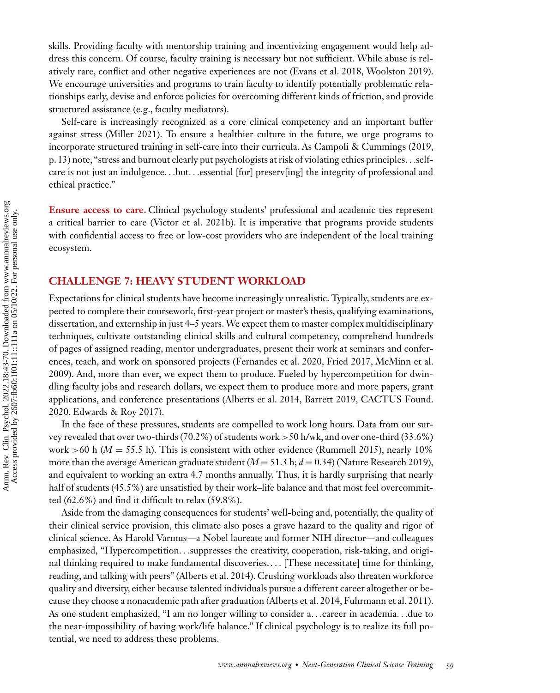skills. Providing faculty with mentorship training and incentivizing engagement would help address this concern. Of course, faculty training is necessary but not sufficient. While abuse is relatively rare, conflict and other negative experiences are not [\(Evans et al. 2018,](#page-24-0) [Woolston 2019\)](#page-27-0). We encourage universities and programs to train faculty to identify potentially problematic relationships early, devise and enforce policies for overcoming different kinds of friction, and provide structured assistance (e.g., faculty mediators).

Self-care is increasingly recognized as a core clinical competency and an important buffer against stress [\(Miller 2021\)](#page-25-0). To ensure a healthier culture in the future, we urge programs to incorporate structured training in self-care into their curricula. As [Campoli & Cummings \(2019,](#page-23-0) p. 13) note, "stress and burnout clearly put psychologists at risk of violating ethics principles*...*selfcare is not just an indulgence*...*but*...*essential [for] preserv[ing] the integrity of professional and ethical practice."

**Ensure access to care.** Clinical psychology students' professional and academic ties represent a critical barrier to care [\(Victor et al. 2021b\)](#page-27-0). It is imperative that programs provide students with confidential access to free or low-cost providers who are independent of the local training ecosystem.

#### **CHALLENGE 7: HEAVY STUDENT WORKLOAD**

Expectations for clinical students have become increasingly unrealistic. Typically, students are expected to complete their coursework, first-year project or master's thesis, qualifying examinations, dissertation, and externship in just 4–5 years.We expect them to master complex multidisciplinary techniques, cultivate outstanding clinical skills and cultural competency, comprehend hundreds of pages of assigned reading, mentor undergraduates, present their work at seminars and confer[ences, teach, and work on sponsored projects \(Fernandes](#page-25-0)[et](#page-25-0)[al.](#page-25-0)[2020,](#page-25-0)[Fried](#page-25-0)[2017, McMinn et al.](#page-25-0) 2009). And, more than ever, we expect them to produce. Fueled by hypercompetition for dwindling faculty jobs and research dollars, we expect them to produce more and more papers, grant [applications, and conference presentations \(Alberts et al. 2014, Barrett 2019, CACTUS Found.](#page-23-0) 2020, [Edwards & Roy 2017\)](#page-24-0).

In the face of these pressures, students are compelled to work long hours. Data from our survey revealed that over two-thirds (70.2%) of students work *>*50 h/wk, and over one-third (33.6%) work  $>60$  h ( $M = 55.5$  h). This is consistent with other evidence [\(Rummell 2015\)](#page-26-0), nearly 10% more than the average American graduate student  $(M = 51.3 \text{ h}; d = 0.34)$  [\(Nature Research 2019\)](#page-25-0), and equivalent to working an extra 4.7 months annually. Thus, it is hardly surprising that nearly half of students (45.5%) are unsatisfied by their work–life balance and that most feel overcommitted (62.6%) and find it difficult to relax (59.8%).

Aside from the damaging consequences for students' well-being and, potentially, the quality of their clinical service provision, this climate also poses a grave hazard to the quality and rigor of clinical science. As Harold Varmus—a Nobel laureate and former NIH director—and colleagues emphasized, "Hypercompetition*...*suppresses the creativity, cooperation, risk-taking, and original thinking required to make fundamental discoveries.*...* [These necessitate] time for thinking, reading, and talking with peers" [\(Alberts et al. 2014\)](#page-23-0). Crushing workloads also threaten workforce quality and diversity, either because talented individuals pursue a different career altogether or because they choose a nonacademic path after graduation [\(Alberts et al. 2014,](#page-23-0) [Fuhrmann et al. 2011\)](#page-24-0). As one student emphasized, "I am no longer willing to consider a*...*career in academia*...*due to the near-impossibility of having work/life balance." If clinical psychology is to realize its full potential, we need to address these problems.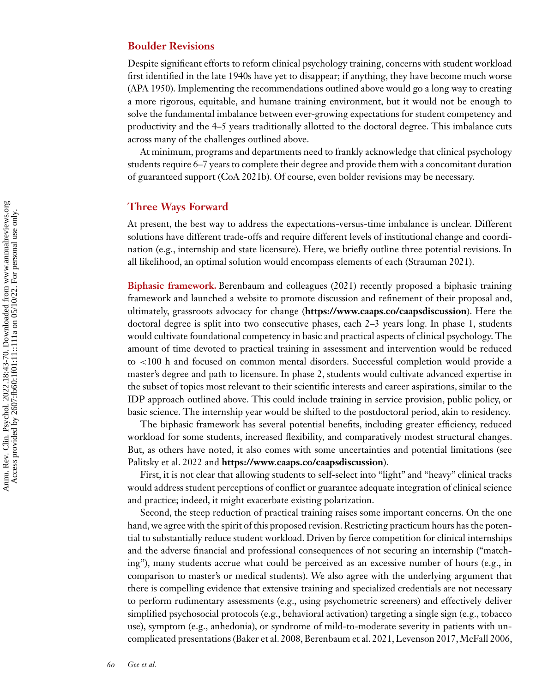#### **Boulder Revisions**

Despite significant efforts to reform clinical psychology training, concerns with student workload first identified in the late 1940s have yet to disappear; if anything, they have become much worse [\(APA 1950\)](#page-23-0). Implementing the recommendations outlined above would go a long way to creating a more rigorous, equitable, and humane training environment, but it would not be enough to solve the fundamental imbalance between ever-growing expectations for student competency and productivity and the 4–5 years traditionally allotted to the doctoral degree. This imbalance cuts across many of the challenges outlined above.

At minimum, programs and departments need to frankly acknowledge that clinical psychology students require 6–7 years to complete their degree and provide them with a concomitant duration of guaranteed support [\(CoA 2021b\)](#page-23-0). Of course, even bolder revisions may be necessary.

#### **Three Ways Forward**

At present, the best way to address the expectations-versus-time imbalance is unclear. Different solutions have different trade-offs and require different levels of institutional change and coordination (e.g., internship and state licensure). Here, we briefly outline three potential revisions. In all likelihood, an optimal solution would encompass elements of each [\(Strauman 2021\)](#page-26-0).

**Biphasic framework.** [Berenbaum and colleagues \(2021\)](#page-23-0) recently proposed a biphasic training framework and launched a website to promote discussion and refinement of their proposal and, ultimately, grassroots advocacy for change (**<https://www.caaps.co/caapsdiscussion>**). Here the doctoral degree is split into two consecutive phases, each 2–3 years long. In phase 1, students would cultivate foundational competency in basic and practical aspects of clinical psychology. The amount of time devoted to practical training in assessment and intervention would be reduced to *<*100 h and focused on common mental disorders. Successful completion would provide a master's degree and path to licensure. In phase 2, students would cultivate advanced expertise in the subset of topics most relevant to their scientific interests and career aspirations, similar to the IDP approach outlined above. This could include training in service provision, public policy, or basic science. The internship year would be shifted to the postdoctoral period, akin to residency.

The biphasic framework has several potential benefits, including greater efficiency, reduced workload for some students, increased flexibility, and comparatively modest structural changes. But, as others have noted, it also comes with some uncertainties and potential limitations (see Palitsky et al. 2022 and **<https://www.caaps.co/caapsdiscussion>**).

First, it is not clear that allowing students to self-select into "light" and "heavy" clinical tracks would address student perceptions of conflict or guarantee adequate integration of clinical science and practice; indeed, it might exacerbate existing polarization.

Second, the steep reduction of practical training raises some important concerns. On the one hand, we agree with the spirit of this proposed revision. Restricting practicum hours has the potential to substantially reduce student workload. Driven by fierce competition for clinical internships and the adverse financial and professional consequences of not securing an internship ("matching"), many students accrue what could be perceived as an excessive number of hours (e.g., in comparison to master's or medical students). We also agree with the underlying argument that there is compelling evidence that extensive training and specialized credentials are not necessary to perform rudimentary assessments (e.g., using psychometric screeners) and effectively deliver simplified psychosocial protocols (e.g., behavioral activation) targeting a single sign (e.g., tobacco use), symptom (e.g., anhedonia), or syndrome of mild-to-moderate severity in patients with uncomplicated presentations [\(Baker et al. 2008, Berenbaum et al. 2021,](#page-23-0) [Levenson 2017,McFall 2006,](#page-25-0)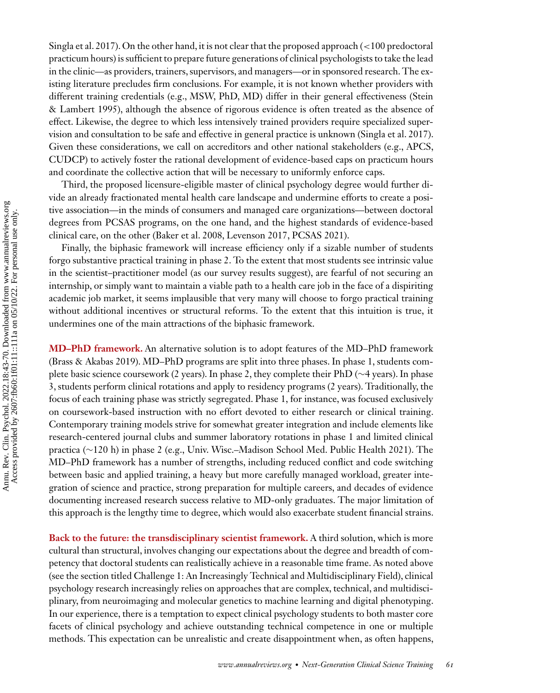[Singla et al. 2017\)](#page-26-0). On the other hand, it is not clear that the proposed approach (*<*100 predoctoral practicum hours) is sufficient to prepare future generations of clinical psychologists to take the lead in the clinic—as providers, trainers, supervisors, and managers—or in sponsored research. The existing literature precludes firm conclusions. For example, it is not known whether providers with [different training credentials \(e.g., MSW, PhD, MD\) differ in their general effectiveness \(Stein](#page-26-0) & Lambert 1995), although the absence of rigorous evidence is often treated as the absence of effect. Likewise, the degree to which less intensively trained providers require specialized supervision and consultation to be safe and effective in general practice is unknown [\(Singla et al. 2017\)](#page-26-0). Given these considerations, we call on accreditors and other national stakeholders (e.g., APCS, CUDCP) to actively foster the rational development of evidence-based caps on practicum hours and coordinate the collective action that will be necessary to uniformly enforce caps.

Third, the proposed licensure-eligible master of clinical psychology degree would further divide an already fractionated mental health care landscape and undermine efforts to create a positive association—in the minds of consumers and managed care organizations—between doctoral degrees from PCSAS programs, on the one hand, and the highest standards of evidence-based clinical care, on the other [\(Baker et al. 2008,](#page-23-0) [Levenson 2017, PCSAS 2021\)](#page-25-0).

Finally, the biphasic framework will increase efficiency only if a sizable number of students forgo substantive practical training in phase 2. To the extent that most students see intrinsic value in the scientist–practitioner model (as our survey results suggest), are fearful of not securing an internship, or simply want to maintain a viable path to a health care job in the face of a dispiriting academic job market, it seems implausible that very many will choose to forgo practical training without additional incentives or structural reforms. To the extent that this intuition is true, it undermines one of the main attractions of the biphasic framework.

**MD–PhD framework.** An alternative solution is to adopt features of the MD–PhD framework [\(Brass & Akabas 2019\)](#page-23-0). MD–PhD programs are split into three phases. In phase 1, students complete basic science coursework (2 years). In phase 2, they complete their PhD (∼4 years). In phase 3, students perform clinical rotations and apply to residency programs (2 years). Traditionally, the focus of each training phase was strictly segregated. Phase 1, for instance, was focused exclusively on coursework-based instruction with no effort devoted to either research or clinical training. Contemporary training models strive for somewhat greater integration and include elements like research-centered journal clubs and summer laboratory rotations in phase 1 and limited clinical practica (∼120 h) in phase 2 (e.g., [Univ. Wisc.–Madison School Med. Public Health 2021\)](#page-26-0). The MD–PhD framework has a number of strengths, including reduced conflict and code switching between basic and applied training, a heavy but more carefully managed workload, greater integration of science and practice, strong preparation for multiple careers, and decades of evidence documenting increased research success relative to MD-only graduates. The major limitation of this approach is the lengthy time to degree, which would also exacerbate student financial strains.

**Back to the future: the transdisciplinary scientist framework.** A third solution, which is more cultural than structural, involves changing our expectations about the degree and breadth of competency that doctoral students can realistically achieve in a reasonable time frame. As noted above (see the section titled Challenge 1: An Increasingly Technical and Multidisciplinary Field), clinical psychology research increasingly relies on approaches that are complex, technical, and multidisciplinary, from neuroimaging and molecular genetics to machine learning and digital phenotyping. In our experience, there is a temptation to expect clinical psychology students to both master core facets of clinical psychology and achieve outstanding technical competence in one or multiple methods. This expectation can be unrealistic and create disappointment when, as often happens,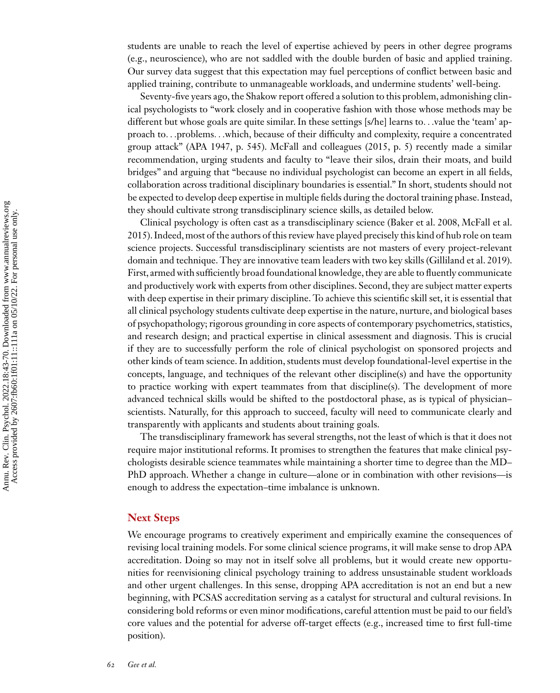students are unable to reach the level of expertise achieved by peers in other degree programs (e.g., neuroscience), who are not saddled with the double burden of basic and applied training. Our survey data suggest that this expectation may fuel perceptions of conflict between basic and applied training, contribute to unmanageable workloads, and undermine students' well-being.

Seventy-five years ago, the Shakow report offered a solution to this problem, admonishing clinical psychologists to "work closely and in cooperative fashion with those whose methods may be different but whose goals are quite similar. In these settings [s/he] learns to*...*value the 'team' approach to*...*problems*...*which, because of their difficulty and complexity, require a concentrated group attack" [\(APA 1947,](#page-23-0) p. 545). [McFall and colleagues \(2015,](#page-25-0) p. 5) recently made a similar recommendation, urging students and faculty to "leave their silos, drain their moats, and build bridges" and arguing that "because no individual psychologist can become an expert in all fields, collaboration across traditional disciplinary boundaries is essential." In short, students should not be expected to develop deep expertise in multiple fields during the doctoral training phase. Instead, they should cultivate strong transdisciplinary science skills, as detailed below.

[Clinical psychology is often cast as a transdisciplinary science \(Baker et al. 2008, McFall et al.](#page-25-0) 2015). Indeed, most of the authors of this review have played precisely this kind of hub role on team science projects. Successful transdisciplinary scientists are not masters of every project-relevant domain and technique. They are innovative team leaders with two key skills [\(Gilliland et al. 2019\)](#page-24-0). First, armed with sufficiently broad foundational knowledge, they are able to fluently communicate and productively work with experts from other disciplines. Second, they are subject matter experts with deep expertise in their primary discipline. To achieve this scientific skill set, it is essential that all clinical psychology students cultivate deep expertise in the nature, nurture, and biological bases of psychopathology; rigorous grounding in core aspects of contemporary psychometrics, statistics, and research design; and practical expertise in clinical assessment and diagnosis. This is crucial if they are to successfully perform the role of clinical psychologist on sponsored projects and other kinds of team science. In addition, students must develop foundational-level expertise in the concepts, language, and techniques of the relevant other discipline(s) and have the opportunity to practice working with expert teammates from that discipline(s). The development of more advanced technical skills would be shifted to the postdoctoral phase, as is typical of physician– scientists. Naturally, for this approach to succeed, faculty will need to communicate clearly and transparently with applicants and students about training goals.

The transdisciplinary framework has several strengths, not the least of which is that it does not require major institutional reforms. It promises to strengthen the features that make clinical psychologists desirable science teammates while maintaining a shorter time to degree than the MD– PhD approach. Whether a change in culture—alone or in combination with other revisions—is enough to address the expectation–time imbalance is unknown.

#### **Next Steps**

We encourage programs to creatively experiment and empirically examine the consequences of revising local training models. For some clinical science programs, it will make sense to drop APA accreditation. Doing so may not in itself solve all problems, but it would create new opportunities for reenvisioning clinical psychology training to address unsustainable student workloads and other urgent challenges. In this sense, dropping APA accreditation is not an end but a new beginning, with PCSAS accreditation serving as a catalyst for structural and cultural revisions. In considering bold reforms or even minor modifications, careful attention must be paid to our field's core values and the potential for adverse off-target effects (e.g., increased time to first full-time position).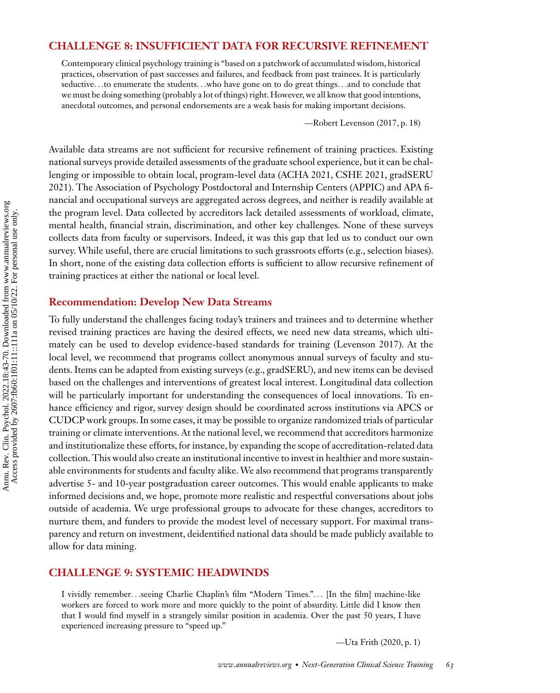#### **CHALLENGE 8: INSUFFICIENT DATA FOR RECURSIVE REFINEMENT**

Contemporary clinical psychology training is "based on a patchwork of accumulated wisdom, historical practices, observation of past successes and failures, and feedback from past trainees. It is particularly seductive*...*to enumerate the students*...*who have gone on to do great things*...*and to conclude that we must be doing something (probably a lot of things) right. However, we all know that good intentions, anecdotal outcomes, and personal endorsements are a weak basis for making important decisions.

—Robert [Levenson \(2017,](#page-25-0) p. 18)

Available data streams are not sufficient for recursive refinement of training practices. Existing national surveys provide detailed assessments of the graduate school experience, but it can be challenging or impossible to obtain local, program-level data [\(ACHA 2021,](#page-22-0) [CSHE 2021,](#page-24-0) gradSERU [2021\). The Association of Psychology Postdoctoral and Internship Centers \(APPIC\) and APA fi](#page-24-0)nancial and occupational surveys are aggregated across degrees, and neither is readily available at the program level. Data collected by accreditors lack detailed assessments of workload, climate, mental health, financial strain, discrimination, and other key challenges. None of these surveys collects data from faculty or supervisors. Indeed, it was this gap that led us to conduct our own survey. While useful, there are crucial limitations to such grassroots efforts (e.g., selection biases). In short, none of the existing data collection efforts is sufficient to allow recursive refinement of training practices at either the national or local level.

#### **Recommendation: Develop New Data Streams**

To fully understand the challenges facing today's trainers and trainees and to determine whether revised training practices are having the desired effects, we need new data streams, which ultimately can be used to develop evidence-based standards for training [\(Levenson 2017\)](#page-25-0). At the local level, we recommend that programs collect anonymous annual surveys of faculty and students. Items can be adapted from existing surveys (e.g., gradSERU), and new items can be devised based on the challenges and interventions of greatest local interest. Longitudinal data collection will be particularly important for understanding the consequences of local innovations. To enhance efficiency and rigor, survey design should be coordinated across institutions via APCS or CUDCP work groups. In some cases, it may be possible to organize randomized trials of particular training or climate interventions. At the national level, we recommend that accreditors harmonize and institutionalize these efforts, for instance, by expanding the scope of accreditation-related data collection. This would also create an institutional incentive to invest in healthier and more sustainable environments for students and faculty alike.We also recommend that programs transparently advertise 5- and 10-year postgraduation career outcomes. This would enable applicants to make informed decisions and, we hope, promote more realistic and respectful conversations about jobs outside of academia. We urge professional groups to advocate for these changes, accreditors to nurture them, and funders to provide the modest level of necessary support. For maximal transparency and return on investment, deidentified national data should be made publicly available to allow for data mining.

#### **CHALLENGE 9: SYSTEMIC HEADWINDS**

I vividly remember*...*seeing Charlie Chaplin's film "Modern Times."*...* [In the film] machine-like workers are forced to work more and more quickly to the point of absurdity. Little did I know then that I would find myself in a strangely similar position in academia. Over the past 50 years, I have experienced increasing pressure to "speed up."

—Uta [Frith \(2020,](#page-24-0) p. 1)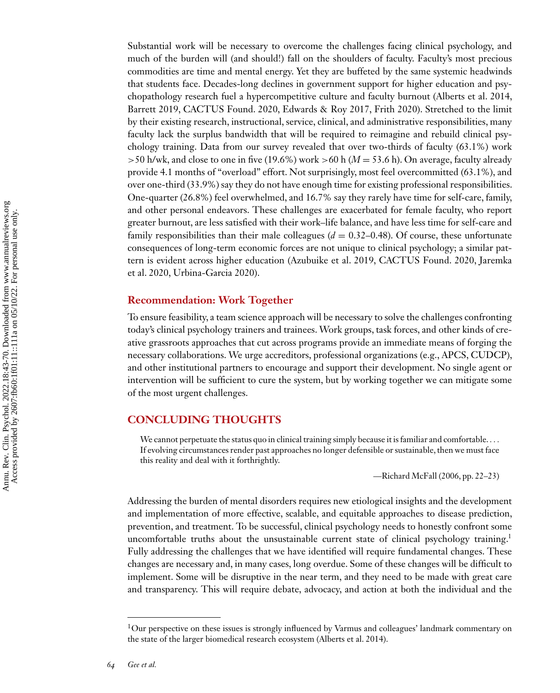Substantial work will be necessary to overcome the challenges facing clinical psychology, and much of the burden will (and should!) fall on the shoulders of faculty. Faculty's most precious commodities are time and mental energy. Yet they are buffeted by the same systemic headwinds that students face. Decades-long declines in government support for higher education and psychopathology research fuel a hypercompetitive culture and faculty burnout [\(Alberts et al. 2014,](#page-23-0) [Barrett 2019, CACTUS Found. 2020,](#page-23-0) [Edwards & Roy 2017, Frith 2020\)](#page-24-0). Stretched to the limit by their existing research, instructional, service, clinical, and administrative responsibilities, many faculty lack the surplus bandwidth that will be required to reimagine and rebuild clinical psychology training. Data from our survey revealed that over two-thirds of faculty (63.1%) work *>*50 h/wk, and close to one in five (19.6%) work *>*60 h (*M* = 53.6 h). On average, faculty already provide 4.1 months of "overload" effort. Not surprisingly, most feel overcommitted (63.1%), and over one-third (33.9%) say they do not have enough time for existing professional responsibilities. One-quarter (26.8%) feel overwhelmed, and 16.7% say they rarely have time for self-care, family, and other personal endeavors. These challenges are exacerbated for female faculty, who report greater burnout, are less satisfied with their work–life balance, and have less time for self-care and family responsibilities than their male colleagues  $(d = 0.32-0.48)$ . Of course, these unfortunate consequences of long-term economic forces are not unique to clinical psychology; a similar pat[tern is evident across higher education \(Azubuike et al. 2019, CACTUS Found. 2020, Jaremka](#page-24-0) et al. 2020, [Urbina-Garcia 2020\)](#page-27-0).

#### **Recommendation: Work Together**

To ensure feasibility, a team science approach will be necessary to solve the challenges confronting today's clinical psychology trainers and trainees. Work groups, task forces, and other kinds of creative grassroots approaches that cut across programs provide an immediate means of forging the necessary collaborations. We urge accreditors, professional organizations (e.g., APCS, CUDCP), and other institutional partners to encourage and support their development. No single agent or intervention will be sufficient to cure the system, but by working together we can mitigate some of the most urgent challenges.

#### **CONCLUDING THOUGHTS**

We cannot perpetuate the status quo in clinical training simply because it is familiar and comfortable.*...* If evolving circumstances render past approaches no longer defensible or sustainable, then we must face this reality and deal with it forthrightly.

—Richard [McFall \(2006,](#page-25-0) pp. 22–23)

Addressing the burden of mental disorders requires new etiological insights and the development and implementation of more effective, scalable, and equitable approaches to disease prediction, prevention, and treatment. To be successful, clinical psychology needs to honestly confront some uncomfortable truths about the unsustainable current state of clinical psychology training.<sup>1</sup> Fully addressing the challenges that we have identified will require fundamental changes. These changes are necessary and, in many cases, long overdue. Some of these changes will be difficult to implement. Some will be disruptive in the near term, and they need to be made with great care and transparency. This will require debate, advocacy, and action at both the individual and the

<sup>&</sup>lt;sup>1</sup>Our perspective on these issues is strongly influenced by Varmus and colleagues' landmark commentary on the state of the larger biomedical research ecosystem [\(Alberts et al. 2014\)](#page-23-0).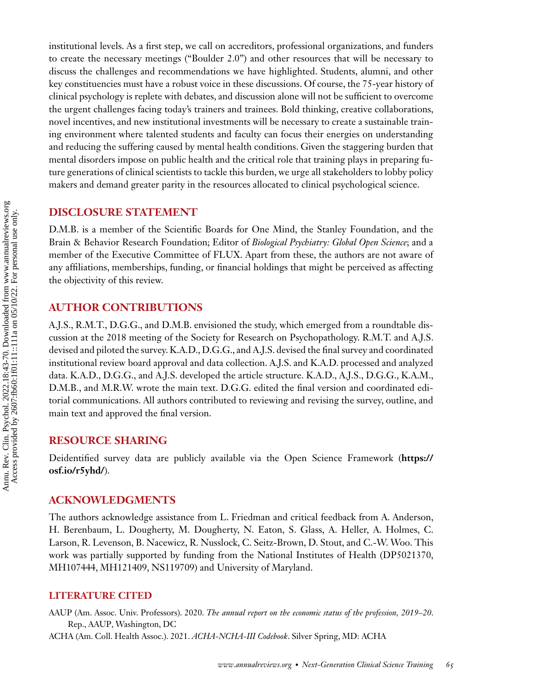<span id="page-22-0"></span>institutional levels. As a first step, we call on accreditors, professional organizations, and funders to create the necessary meetings ("Boulder 2.0") and other resources that will be necessary to discuss the challenges and recommendations we have highlighted. Students, alumni, and other key constituencies must have a robust voice in these discussions. Of course, the 75-year history of clinical psychology is replete with debates, and discussion alone will not be sufficient to overcome the urgent challenges facing today's trainers and trainees. Bold thinking, creative collaborations, novel incentives, and new institutional investments will be necessary to create a sustainable training environment where talented students and faculty can focus their energies on understanding and reducing the suffering caused by mental health conditions. Given the staggering burden that mental disorders impose on public health and the critical role that training plays in preparing future generations of clinical scientists to tackle this burden, we urge all stakeholders to lobby policy makers and demand greater parity in the resources allocated to clinical psychological science.

#### **DISCLOSURE STATEMENT**

D.M.B. is a member of the Scientific Boards for One Mind, the Stanley Foundation, and the Brain & Behavior Research Foundation; Editor of *Biological Psychiatry: Global Open Science*; and a member of the Executive Committee of FLUX. Apart from these, the authors are not aware of any affiliations, memberships, funding, or financial holdings that might be perceived as affecting the objectivity of this review.

#### **AUTHOR CONTRIBUTIONS**

A.J.S., R.M.T., D.G.G., and D.M.B. envisioned the study, which emerged from a roundtable discussion at the 2018 meeting of the Society for Research on Psychopathology. R.M.T. and A.J.S. devised and piloted the survey. K.A.D., D.G.G., and A.J.S. devised the final survey and coordinated institutional review board approval and data collection. A.J.S. and K.A.D. processed and analyzed data. K.A.D., D.G.G., and A.J.S. developed the article structure. K.A.D., A.J.S., D.G.G., K.A.M., D.M.B., and M.R.W. wrote the main text. D.G.G. edited the final version and coordinated editorial communications. All authors contributed to reviewing and revising the survey, outline, and main text and approved the final version.

#### **RESOURCE SHARING**

[Deidentified survey data are publicly available via the Open Science Framework \(](https://osf.io/r5yhd/)**https:// osf.io/r5yhd/**).

#### **ACKNOWLEDGMENTS**

The authors acknowledge assistance from L. Friedman and critical feedback from A. Anderson, H. Berenbaum, L. Dougherty, M. Dougherty, N. Eaton, S. Glass, A. Heller, A. Holmes, C. Larson, R. Levenson, B. Nacewicz, R. Nusslock, C. Seitz-Brown, D. Stout, and C.-W. Woo. This work was partially supported by funding from the National Institutes of Health (DP5021370, MH107444, MH121409, NS119709) and University of Maryland.

#### **LITERATURE CITED**

AAUP (Am. Assoc. Univ. Professors). 2020. *The annual report on the economic status of the profession, 2019–20*. Rep., AAUP, Washington, DC ACHA (Am. Coll. Health Assoc.). 2021. *ACHA-NCHA-III Codebook*. Silver Spring, MD: ACHA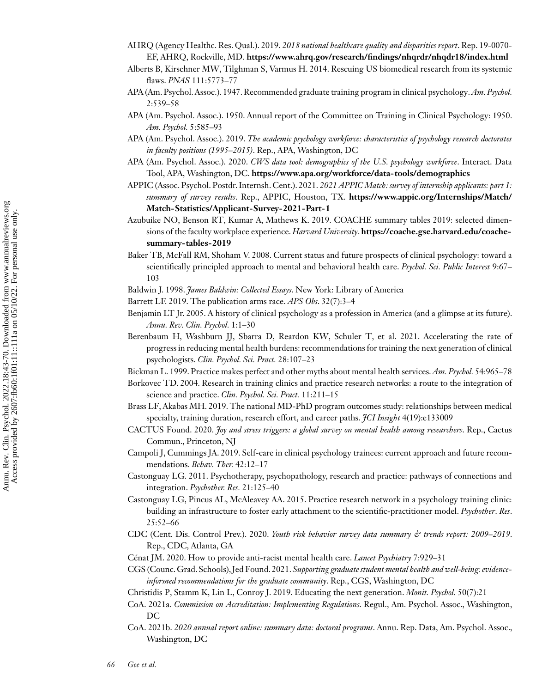- <span id="page-23-0"></span>AHRQ (Agency Healthc. Res. Qual.). 2019. *2018 national healthcare quality and disparities report*. Rep. 19-0070- EF, AHRQ, Rockville, MD. **<https://www.ahrq.gov/research/findings/nhqrdr/nhqdr18/index.html>**
- Alberts B, Kirschner MW, Tilghman S, Varmus H. 2014. Rescuing US biomedical research from its systemic flaws. *PNAS* 111:5773–77
- APA (Am. Psychol. Assoc.). 1947. Recommended graduate training program in clinical psychology.*Am. Psychol.* 2:539–58
- APA (Am. Psychol. Assoc.). 1950. Annual report of the Committee on Training in Clinical Psychology: 1950. *Am. Psychol.* 5:585–93
- APA (Am. Psychol. Assoc.). 2019. *The academic psychology workforce: characteristics of psychology research doctorates in faculty positions (1995*–*2015)*. Rep., APA, Washington, DC
- APA (Am. Psychol. Assoc.). 2020. *CWS data tool: demographics of the U.S. psychology workforce*. Interact. Data Tool, APA, Washington, DC. **<https://www.apa.org/workforce/data-tools/demographics>**
- APPIC (Assoc. Psychol. Postdr. Internsh. Cent.). 2021. *2021 APPIC Match: survey of internship applicants: part 1: summary of survey results*. Rep., APPIC, Houston, TX. **https://www.appic.org/Internships/Match/ [Match-Statistics/Applicant-Survey-2021-Part-1](https://www.appic.org/Internships/Match/Match-Statistics/Applicant-Survey-2021-Part-1)**
- Azubuike NO, Benson RT, Kumar A, Mathews K. 2019. COACHE summary tables 2019: selected dimensions of the faculty workplace experience. *Harvard University*. **[https://coache.gse.harvard.edu/coache](https://coache.gse.harvard.edu/coache-summary-tables-2019)summary-tables-2019**
- Baker TB, McFall RM, Shoham V. 2008. Current status and future prospects of clinical psychology: toward a scientifically principled approach to mental and behavioral health care. *Psychol. Sci. Public Interest* 9:67– 103
- Baldwin J. 1998. *James Baldwin: Collected Essays*. New York: Library of America
- Barrett LF. 2019. The publication arms race. *APS Obs*. 32(7):3–4
- Benjamin LT Jr. 2005. A history of clinical psychology as a profession in America (and a glimpse at its future). *Annu. Rev. Clin. Psychol.* 1:1–30
- Berenbaum H, Washburn JJ, Sbarra D, Reardon KW, Schuler T, et al. 2021. Accelerating the rate of progress in reducing mental health burdens: recommendations for training the next generation of clinical psychologists. *Clin. Psychol. Sci. Pract.* 28:107–23
- Bickman L. 1999. Practice makes perfect and other myths about mental health services.*Am. Psychol.* 54:965–78
- Borkovec TD. 2004. Research in training clinics and practice research networks: a route to the integration of science and practice. *Clin. Psychol. Sci. Pract.* 11:211–15
- Brass LF, Akabas MH. 2019. The national MD-PhD program outcomes study: relationships between medical specialty, training duration, research effort, and career paths. *JCI Insight* 4(19):e133009
- CACTUS Found. 2020. *Joy and stress triggers: a global survey on mental health among researchers*. Rep., Cactus Commun., Princeton, NJ
- Campoli J, Cummings JA. 2019. Self-care in clinical psychology trainees: current approach and future recommendations. *Behav. Ther.* 42:12–17
- Castonguay LG. 2011. Psychotherapy, psychopathology, research and practice: pathways of connections and integration. *Psychother. Res.* 21:125–40
- Castonguay LG, Pincus AL, McAleavey AA. 2015. Practice research network in a psychology training clinic: building an infrastructure to foster early attachment to the scientific-practitioner model. *Psychother*. *Res*. 25:52–66
- CDC (Cent. Dis. Control Prev.). 2020. *Youth risk behavior survey data summary & trends report: 2009–2019*. Rep., CDC, Atlanta, GA
- Cénat JM. 2020. How to provide anti-racist mental health care. *Lancet Psychiatry* 7:929–31
- CGS (Counc.Grad. Schools), Jed Found. 2021.*Supporting graduate student mental health and well-being: evidenceinformed recommendations for the graduate community*. Rep., CGS, Washington, DC
- Christidis P, Stamm K, Lin L, Conroy J. 2019. Educating the next generation. *Monit. Psychol.* 50(7):21
- CoA. 2021a. *Commission on Accreditation: Implementing Regulations*. Regul., Am. Psychol. Assoc., Washington, DC
- CoA. 2021b. *2020 annual report online: summary data: doctoral programs*. Annu. Rep. Data, Am. Psychol. Assoc., Washington, DC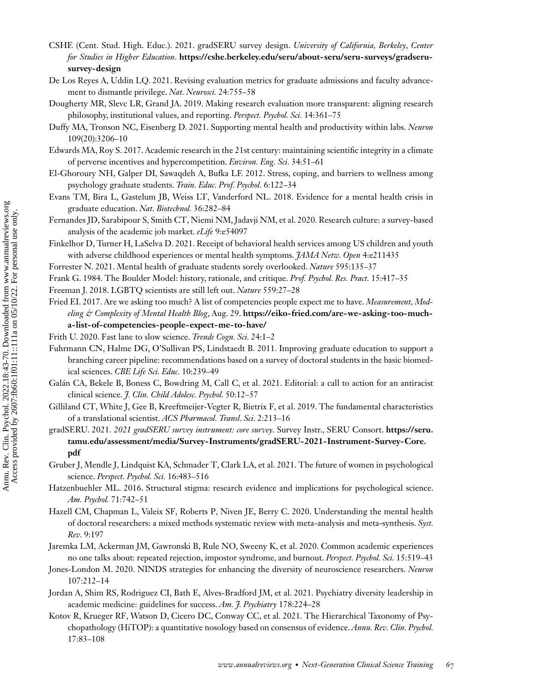- <span id="page-24-0"></span>CSHE (Cent. Stud. High. Educ.). 2021. gradSERU survey design. *University of California, Berkeley*, *Center for Studies in Higher Education*. **[https://cshe.berkeley.edu/seru/about-seru/seru-surveys/gradseru](https://cshe.berkeley.edu/seru/about-seru/seru-surveys/gradseru-survey-design)survey-design**
- De Los Reyes A, Uddin LQ. 2021. Revising evaluation metrics for graduate admissions and faculty advancement to dismantle privilege. *Nat. Neurosci.* 24:755–58
- Dougherty MR, Slevc LR, Grand JA. 2019. Making research evaluation more transparent: aligning research philosophy, institutional values, and reporting. *Perspect. Psychol. Sci.* 14:361–75
- Duffy MA, Tronson NC, Eisenberg D. 2021. Supporting mental health and productivity within labs. *Neuron* 109(20):3206–10
- Edwards MA, Roy S. 2017. Academic research in the 21st century: maintaining scientific integrity in a climate of perverse incentives and hypercompetition. *Environ. Eng. Sci.* 34:51–61
- El-Ghoroury NH, Galper DI, Sawaqdeh A, Bufka LF. 2012. Stress, coping, and barriers to wellness among psychology graduate students. *Train. Educ. Prof. Psychol.* 6:122–34
- Evans TM, Bira L, Gastelum JB, Weiss LT, Vanderford NL. 2018. Evidence for a mental health crisis in graduate education. *Nat. Biotechnol.* 36:282–84
- Fernandes JD, Sarabipour S, Smith CT, Niemi NM, Jadavji NM, et al. 2020. Research culture: a survey-based analysis of the academic job market. *eLife* 9:e54097
- Finkelhor D, Turner H, LaSelva D. 2021. Receipt of behavioral health services among US children and youth with adverse childhood experiences or mental health symptoms. *JAMA Netw. Open* 4:e211435
- Forrester N. 2021. Mental health of graduate students sorely overlooked. *Nature* 595:135–37
- Frank G. 1984. The Boulder Model: history, rationale, and critique. *Prof. Psychol. Res. Pract.* 15:417–35
- Freeman J. 2018. LGBTQ scientists are still left out. *Nature* 559:27–28
- Fried EI. 2017. Are we asking too much? A list of competencies people expect me to have. *Measurement, Modeling & Complexity of Mental Health Blog*, Aug. 29. **https://eiko-fried.com/are-we-asking-too-much[a-list-of-competencies-people-expect-me-to-have/](https://eiko-fried.com/are-we-asking-too-much-a-list-of-competencies-people-expect-me-to-have/)**
- Frith U. 2020. Fast lane to slow science. *Trends Cogn. Sci.* 24:1–2
- Fuhrmann CN, Halme DG, O'Sullivan PS, Lindstaedt B. 2011. Improving graduate education to support a branching career pipeline: recommendations based on a survey of doctoral students in the basic biomedical sciences. *CBE Life Sci. Educ.* 10:239–49
- Galán CA, Bekele B, Boness C, Bowdring M, Call C, et al. 2021. Editorial: a call to action for an antiracist clinical science. *J. Clin. Child Adolesc. Psychol.* 50:12–57
- Gilliland CT, White J, Gee B, Kreeftmeijer-Vegter R, Bietrix F, et al. 2019. The fundamental characteristics of a translational scientist. *ACS Pharmacol. Transl*. *Sci*. 2:213–16
- gradSERU. 2021. *2021 gradSERU survey instrument: core survey*. Survey Instr., SERU Consort. **https://seru. [tamu.edu/assessment/media/Survey-Instruments/gradSERU-2021-Instrument-Survey-Core.](https://seru.tamu.edu/assessment/media/Survey-Instruments/gradSERU-2021-Instrument-Survey-Core.pdf) pdf**
- Gruber J, Mendle J, Lindquist KA, Schmader T, Clark LA, et al. 2021. The future of women in psychological science. *Perspect. Psychol. Sci.* 16:483–516
- Hatzenbuehler ML. 2016. Structural stigma: research evidence and implications for psychological science. *Am. Psychol.* 71:742–51
- Hazell CM, Chapman L, Valeix SF, Roberts P, Niven JE, Berry C. 2020. Understanding the mental health of doctoral researchers: a mixed methods systematic review with meta-analysis and meta-synthesis. *Syst. Rev.* 9:197
- Jaremka LM, Ackerman JM, Gawronski B, Rule NO, Sweeny K, et al. 2020. Common academic experiences no one talks about: repeated rejection, impostor syndrome, and burnout. *Perspect. Psychol. Sci.* 15:519–43
- Jones-London M. 2020. NINDS strategies for enhancing the diversity of neuroscience researchers. *Neuron* 107:212–14
- Jordan A, Shim RS, Rodriguez CI, Bath E, Alves-Bradford JM, et al. 2021. Psychiatry diversity leadership in academic medicine: guidelines for success. *Am. J. Psychiatry* 178:224–28
- Kotov R, Krueger RF, Watson D, Cicero DC, Conway CC, et al. 2021. The Hierarchical Taxonomy of Psychopathology (HiTOP): a quantitative nosology based on consensus of evidence. *Annu. Rev. Clin. Psychol.* 17:83–108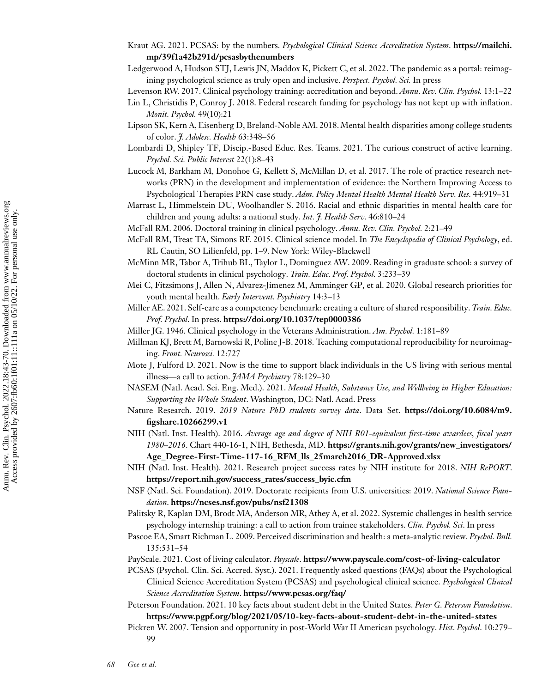- <span id="page-25-0"></span>Kraut AG. 2021. PCSAS: by the numbers. *[Psychological Clinical Science Accreditation System](https://mailchi.mp/39f1a42b291d/pcsasbythenumbers)*. **https://mailchi. mp/39f1a42b291d/pcsasbythenumbers**
- Ledgerwood A, Hudson STJ, Lewis JN, Maddox K, Pickett C, et al. 2022. The pandemic as a portal: reimagining psychological science as truly open and inclusive. *Perspect. Psychol. Sci.* In press

Levenson RW. 2017. Clinical psychology training: accreditation and beyond. *Annu. Rev. Clin. Psychol.* 13:1–22

- Lin L, Christidis P, Conroy J. 2018. Federal research funding for psychology has not kept up with inflation. *Monit. Psychol.* 49(10):21
- Lipson SK, Kern A, Eisenberg D, Breland-Noble AM. 2018. Mental health disparities among college students of color. *J. Adolesc. Health* 63:348–56
- Lombardi D, Shipley TF, Discip.-Based Educ. Res. Teams. 2021. The curious construct of active learning. *Psychol. Sci. Public Interest* 22(1):8–43
- Lucock M, Barkham M, Donohoe G, Kellett S, McMillan D, et al. 2017. The role of practice research networks (PRN) in the development and implementation of evidence: the Northern Improving Access to Psychological Therapies PRN case study. *Adm. Policy Mental Health Mental Health Serv. Res.* 44:919–31
- Marrast L, Himmelstein DU, Woolhandler S. 2016. Racial and ethnic disparities in mental health care for children and young adults: a national study. *Int. J. Health Serv.* 46:810–24
- McFall RM. 2006. Doctoral training in clinical psychology. *Annu. Rev. Clin. Psychol.* 2:21–49
- McFall RM, Treat TA, Simons RF. 2015. Clinical science model. In *The Encyclopedia of Clinical Psychology*, ed. RL Cautin, SO Lilienfeld, pp. 1–9. New York: Wiley-Blackwell
- McMinn MR, Tabor A, Trihub BL, Taylor L, Dominguez AW. 2009. Reading in graduate school: a survey of doctoral students in clinical psychology. *Train. Educ. Prof. Psychol.* 3:233–39
- Mei C, Fitzsimons J, Allen N, Alvarez-Jimenez M, Amminger GP, et al. 2020. Global research priorities for youth mental health. *Early Intervent. Psychiatry* 14:3–13
- Miller AE. 2021. Self-care as a competency benchmark: creating a culture of shared responsibility. *Train. Educ. Prof. Psychol*. In press. **<https://doi.org/10.1037/tep0000386>**
- Miller JG. 1946. Clinical psychology in the Veterans Administration. *Am. Psychol.* 1:181–89
- Millman KJ, Brett M, Barnowski R, Poline J-B. 2018. Teaching computational reproducibility for neuroimaging. *Front. Neurosci.* 12:727
- Mote J, Fulford D. 2021. Now is the time to support black individuals in the US living with serious mental illness—a call to action. *JAMA Psychiatry* 78:129–30
- NASEM (Natl. Acad. Sci. Eng. Med.). 2021. *Mental Health, Substance Use, and Wellbeing in Higher Education: Supporting the Whole Student*. Washington, DC: Natl. Acad. Press
- Nature Research. 2019. *[2019 Nature PhD students survey data](https://doi.org/10.6084/m9.figshare.10266299.v1)*. Data Set. **https://doi.org/10.6084/m9. figshare.10266299.v1**
- NIH (Natl. Inst. Health). 2016. *Average age and degree of NIH R01-equivalent first-time awardees, fiscal years 1980*–*2016*. Chart 440-16-1, NIH, Bethesda, MD. **https://grants.nih.gov/grants/new\_investigators/ [Age\\_Degree-First-Time-117-16\\_RFM\\_lls\\_25march2016\\_DR-Approved.xlsx](https://grants.nih.gov/grants/new_investigators/Age_Degree-First-Time-117-16_RFM_lls_25march2016_DR-Approved.xlsx)**
- NIH (Natl. Inst. Health). 2021. Research project success rates by NIH institute for 2018. *NIH RePORT*. **[https://report.nih.gov/success\\_rates/success\\_byic.cfm](https://report.nih.gov/success_rates/success_byic.cfm)**
- NSF (Natl. Sci. Foundation). 2019. Doctorate recipients from U.S. universities: 2019. *National Science Foundation*. **<https://ncses.nsf.gov/pubs/nsf21308>**
- Palitsky R, Kaplan DM, Brodt MA, Anderson MR, Athey A, et al. 2022. Systemic challenges in health service psychology internship training: a call to action from trainee stakeholders. *Clin. Psychol. Sci*. In press
- Pascoe EA, Smart Richman L. 2009. Perceived discrimination and health: a meta-analytic review. *Psychol. Bull.* 135:531–54
- PayScale. 2021. Cost of living calculator. *Payscale*. **<https://www.payscale.com/cost-of-living-calculator>**
- PCSAS (Psychol. Clin. Sci. Accred. Syst.). 2021. Frequently asked questions (FAQs) about the Psychological Clinical Science Accreditation System (PCSAS) and psychological clinical science. *Psychological Clinical Science Accreditation System*. **<https://www.pcsas.org/faq/>**
- Peterson Foundation. 2021. 10 key facts about student debt in the United States. *Peter G. Peterson Foundation*. **<https://www.pgpf.org/blog/2021/05/10-key-facts-about-student-debt-in-the-united-states>**

Pickren W. 2007. Tension and opportunity in post-World War II American psychology. *Hist*. *Psychol*. 10:279– 99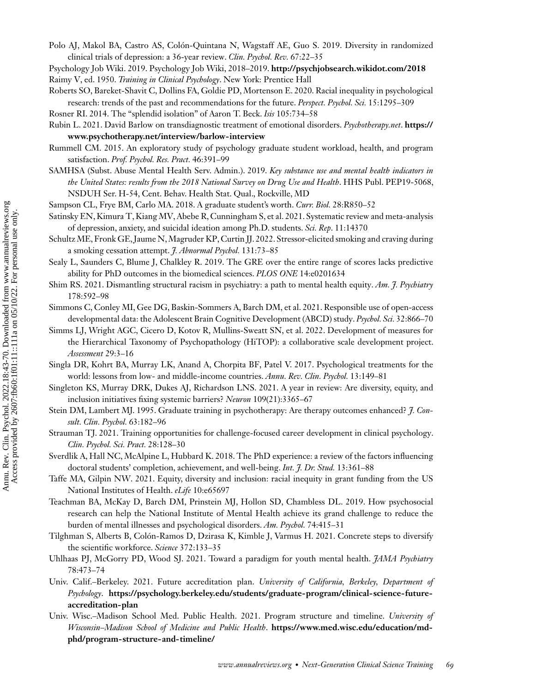<span id="page-26-0"></span>Polo AJ, Makol BA, Castro AS, Colón-Quintana N, Wagstaff AE, Guo S. 2019. Diversity in randomized clinical trials of depression: a 36-year review. *Clin. Psychol. Rev.* 67:22–35

Psychology Job Wiki. 2019. Psychology Job Wiki, 2018–2019. **<http://psychjobsearch.wikidot.com/2018>** Raimy V, ed. 1950. *Training in Clinical Psychology*. New York: Prentice Hall

Roberts SO, Bareket-Shavit C, Dollins FA, Goldie PD, Mortenson E. 2020. Racial inequality in psychological research: trends of the past and recommendations for the future. *Perspect. Psychol. Sci.* 15:1295–309

Rosner RI. 2014. The "splendid isolation" of Aaron T. Beck. *Isis* 105:734–58

- Rub[in L. 2021. David Barlow on transdiagnostic treatment of emotional disorders.](https://www.psychotherapy.net/interview/barlow-interview) *Psychotherapy.net*. **https:// www.psychotherapy.net/interview/barlow-interview**
- Rummell CM. 2015. An exploratory study of psychology graduate student workload, health, and program satisfaction. *Prof. Psychol. Res. Pract.* 46:391–99
- SAMHSA (Subst. Abuse Mental Health Serv. Admin.). 2019. *Key substance use and mental health indicators in the United States: results from the 2018 National Survey on Drug Use and Health*. HHS Publ. PEP19-5068, NSDUH Ser. H-54, Cent. Behav. Health Stat. Qual., Rockville, MD
- Sampson CL, Frye BM, Carlo MA. 2018. A graduate student's worth. *Curr. Biol.* 28:R850–52
- Satinsky EN, Kimura T, Kiang MV, Abebe R, Cunningham S, et al. 2021. Systematic review and meta-analysis of depression, anxiety, and suicidal ideation among Ph.D. students. *Sci. Rep*. 11:14370
- Schultz ME, Fronk GE, Jaume N,Magruder KP, Curtin JJ. 2022. Stressor-elicited smoking and craving during a smoking cessation attempt. *J. Abnormal Psychol.* 131:73–85
- Sealy L, Saunders C, Blume J, Chalkley R. 2019. The GRE over the entire range of scores lacks predictive ability for PhD outcomes in the biomedical sciences. *PLOS ONE* 14:e0201634
- Shim RS. 2021. Dismantling structural racism in psychiatry: a path to mental health equity. *Am. J. Psychiatry* 178:592–98
- Simmons C, Conley MI, Gee DG, Baskin-Sommers A, Barch DM, et al. 2021. Responsible use of open-access developmental data: the Adolescent Brain Cognitive Development (ABCD) study. *Psychol. Sci.* 32:866–70
- Simms LJ, Wright AGC, Cicero D, Kotov R, Mullins-Sweatt SN, et al. 2022. Development of measures for the Hierarchical Taxonomy of Psychopathology (HiTOP): a collaborative scale development project. *Assessment* 29:3–16
- Singla DR, Kohrt BA, Murray LK, Anand A, Chorpita BF, Patel V. 2017. Psychological treatments for the world: lessons from low- and middle-income countries. *Annu. Rev. Clin. Psychol.* 13:149–81
- Singleton KS, Murray DRK, Dukes AJ, Richardson LNS. 2021. A year in review: Are diversity, equity, and inclusion initiatives fixing systemic barriers? *Neuron* 109(21):3365–67
- Stein DM, Lambert MJ. 1995. Graduate training in psychotherapy: Are therapy outcomes enhanced? *J. Consult. Clin. Psychol.* 63:182–96
- Strauman TJ. 2021. Training opportunities for challenge-focused career development in clinical psychology. *Clin. Psychol. Sci. Pract.* 28:128–30
- Sverdlik A, Hall NC, McAlpine L, Hubbard K. 2018. The PhD experience: a review of the factors influencing doctoral students' completion, achievement, and well-being. *Int. J. Dr. Stud.* 13:361–88
- Taffe MA, Gilpin NW. 2021. Equity, diversity and inclusion: racial inequity in grant funding from the US National Institutes of Health. *eLife* 10:e65697
- Teachman BA, McKay D, Barch DM, Prinstein MJ, Hollon SD, Chambless DL. 2019. How psychosocial research can help the National Institute of Mental Health achieve its grand challenge to reduce the burden of mental illnesses and psychological disorders. *Am. Psychol.* 74:415–31
- Tilghman S, Alberts B, Colón-Ramos D, Dzirasa K, Kimble J, Varmus H. 2021. Concrete steps to diversify the scientific workforce. *Science* 372:133–35
- Uhlhaas PJ, McGorry PD, Wood SJ. 2021. Toward a paradigm for youth mental health. *JAMA Psychiatry* 78:473–74
- Univ. Calif.–Berkeley. 2021. Future accreditation plan. *University of California, Berkeley, Department of Psychology*. **[https://psychology.berkeley.edu/students/graduate-program/clinical-science-future](https://psychology.berkeley.edu/students/graduate-program/clinical-science-future-accreditation-plan)accreditation-plan**
- Univ. Wisc.–Madison School Med. Public Health. 2021. Program structure and timeline. *University of [Wisconsin–Madison School of Medicine and Public Health](https://www.med.wisc.edu/education/md-phd/program-structure-and-timeline/)*. **https://www.med.wisc.edu/education/mdphd/program-structure-and-timeline/**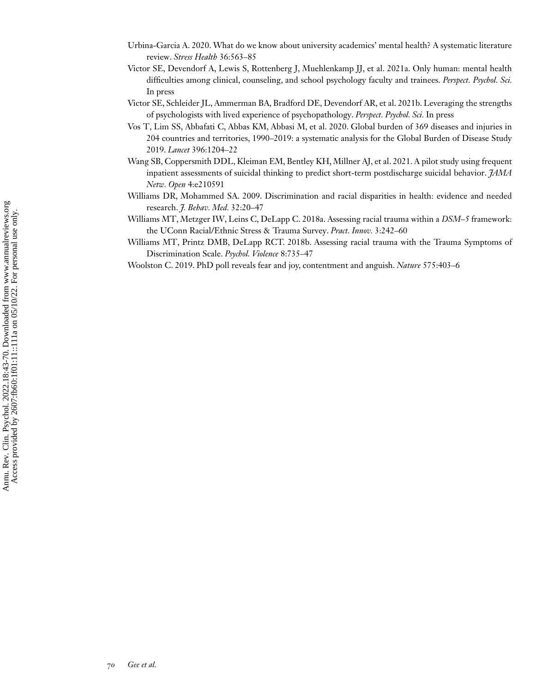- <span id="page-27-0"></span>Urbina-Garcia A. 2020. What do we know about university academics' mental health? A systematic literature review. *Stress Health* 36:563–85
- Victor SE, Devendorf A, Lewis S, Rottenberg J, Muehlenkamp JJ, et al. 2021a. Only human: mental health difficulties among clinical, counseling, and school psychology faculty and trainees. *Perspect. Psychol. Sci.* In press
- Victor SE, Schleider JL, Ammerman BA, Bradford DE, Devendorf AR, et al. 2021b. Leveraging the strengths of psychologists with lived experience of psychopathology. *Perspect. Psychol. Sci.* In press
- Vos T, Lim SS, Abbafati C, Abbas KM, Abbasi M, et al. 2020. Global burden of 369 diseases and injuries in 204 countries and territories, 1990–2019: a systematic analysis for the Global Burden of Disease Study 2019. *Lancet* 396:1204–22
- Wang SB, Coppersmith DDL, Kleiman EM, Bentley KH, Millner AJ, et al. 2021. A pilot study using frequent inpatient assessments of suicidal thinking to predict short-term postdischarge suicidal behavior. *JAMA Netw. Open* 4:e210591
- Williams DR, Mohammed SA. 2009. Discrimination and racial disparities in health: evidence and needed research. *J. Behav. Med.* 32:20–47
- Williams MT, Metzger IW, Leins C, DeLapp C. 2018a. Assessing racial trauma within a *DSM–5* framework: the UConn Racial/Ethnic Stress & Trauma Survey. *Pract. Innov.* 3:242–60
- Williams MT, Printz DMB, DeLapp RCT. 2018b. Assessing racial trauma with the Trauma Symptoms of Discrimination Scale. *Psychol. Violence* 8:735–47
- Woolston C. 2019. PhD poll reveals fear and joy, contentment and anguish. *Nature* 575:403–6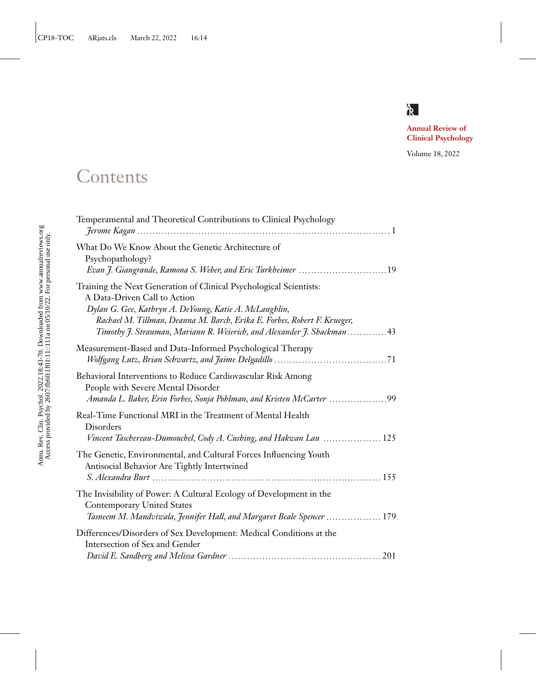## $\mathsf R$

**Clinical Developed Clinical Psychology**

Volume 18, 2022

## **Contents**

| Temperamental and Theoretical Contributions to Clinical Psychology                                                                                                                                                                                                                                                 |
|--------------------------------------------------------------------------------------------------------------------------------------------------------------------------------------------------------------------------------------------------------------------------------------------------------------------|
| What Do We Know About the Genetic Architecture of<br>Psychopathology?<br>Evan J. Giangrande, Ramona S. Weber, and Eric Turkheimer 19                                                                                                                                                                               |
| Training the Next Generation of Clinical Psychological Scientists:<br>A Data-Driven Call to Action<br>Dylan G. Gee, Kathryn A. DeYoung, Katie A. McLaughlin,<br>Rachael M. Tillman, Deanna M. Barch, Erika E. Forbes, Robert F. Krueger,<br>Timothy J. Strauman, Mariann R. Weierich, and Alexander J. Shackman 43 |
| Measurement-Based and Data-Informed Psychological Therapy                                                                                                                                                                                                                                                          |
| Behavioral Interventions to Reduce Cardiovascular Risk Among<br>People with Severe Mental Disorder<br>Amanda L. Baker, Erin Forbes, Sonja Pohlman, and Kristen McCarter 99                                                                                                                                         |
| Real-Time Functional MRI in the Treatment of Mental Health<br>Disorders<br>Vincent Taschereau-Dumouchel, Cody A. Cushing, and Hakwan Lau  125                                                                                                                                                                      |
| The Genetic, Environmental, and Cultural Forces Influencing Youth<br>Antisocial Behavior Are Tightly Intertwined                                                                                                                                                                                                   |
| The Invisibility of Power: A Cultural Ecology of Development in the<br><b>Contemporary United States</b><br>Tasneem M. Mandviwala, Jennifer Hall, and Margaret Beale Spencer  179                                                                                                                                  |
| Differences/Disorders of Sex Development: Medical Conditions at the<br>Intersection of Sex and Gender                                                                                                                                                                                                              |
|                                                                                                                                                                                                                                                                                                                    |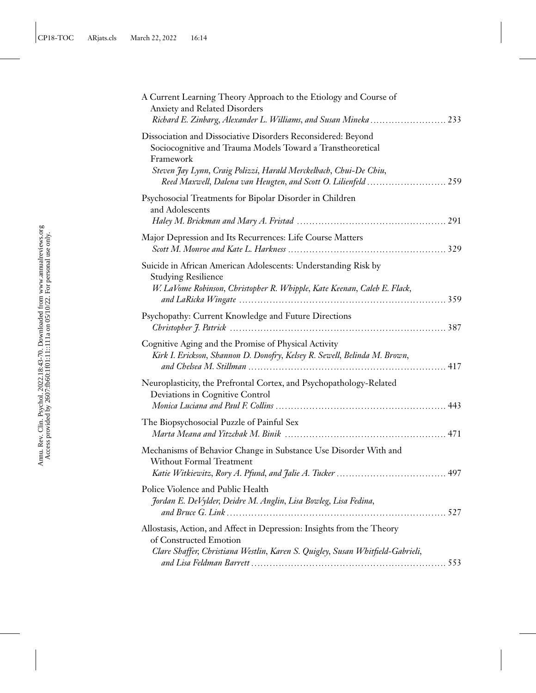| A Current Learning Theory Approach to the Etiology and Course of<br>Anxiety and Related Disorders<br>Richard E. Zinbarg, Alexander L. Williams, and Susan Mineka  233                                        |
|--------------------------------------------------------------------------------------------------------------------------------------------------------------------------------------------------------------|
| Dissociation and Dissociative Disorders Reconsidered: Beyond<br>Sociocognitive and Trauma Models Toward a Transtheoretical<br>Framework<br>Steven Jay Lynn, Craig Polizzi, Harald Merckelbach, Chui-De Chiu, |
|                                                                                                                                                                                                              |
| Psychosocial Treatments for Bipolar Disorder in Children<br>and Adolescents                                                                                                                                  |
|                                                                                                                                                                                                              |
| Major Depression and Its Recurrences: Life Course Matters                                                                                                                                                    |
| Suicide in African American Adolescents: Understanding Risk by<br><b>Studying Resilience</b><br>W. LaVome Robinson, Christopher R. Whipple, Kate Keenan, Caleb E. Flack,                                     |
|                                                                                                                                                                                                              |
| Psychopathy: Current Knowledge and Future Directions                                                                                                                                                         |
| Cognitive Aging and the Promise of Physical Activity<br>Kirk I. Erickson, Shannon D. Donofry, Kelsey R. Sewell, Belinda M. Brown,                                                                            |
| Neuroplasticity, the Prefrontal Cortex, and Psychopathology-Related<br>Deviations in Cognitive Control                                                                                                       |
| The Biopsychosocial Puzzle of Painful Sex                                                                                                                                                                    |
| Mechanisms of Behavior Change in Substance Use Disorder With and<br><b>Without Formal Treatment</b>                                                                                                          |
| Police Violence and Public Health<br>Jordan E. DeVylder, Deidre M. Anglin, Lisa Bowleg, Lisa Fedina,                                                                                                         |
| Allostasis, Action, and Affect in Depression: Insights from the Theory<br>of Constructed Emotion<br>Clare Shaffer, Christiana Westlin, Karen S. Quigley, Susan Whitfield-Gabrieli,                           |